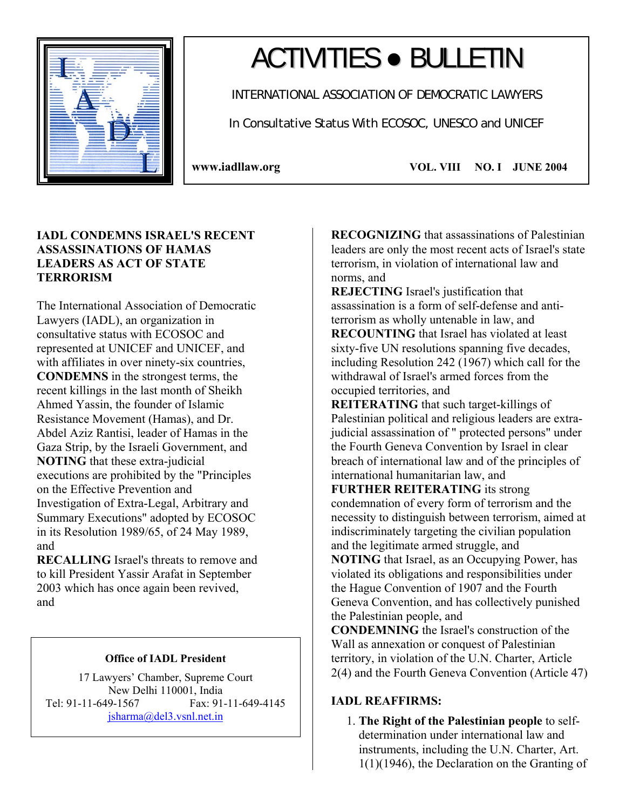

# ACTIVITIES ● BULLETIN

INTERNATIONAL ASSOCIATION OF DEMOCRATIC LAWYERS

In Consultative Status With ECOSOC, UNESCO and UNICEF

**www.iadllaw.org VOL. VIII NO. I JUNE 2004**

## **IADL CONDEMNS ISRAEL'S RECENT ASSASSINATIONS OF HAMAS LEADERS AS ACT OF STATE TERRORISM**

The International Association of Democratic Lawyers (IADL), an organization in consultative status with ECOSOC and represented at UNICEF and UNICEF, and with affiliates in over ninety-six countries, **CONDEMNS** in the strongest terms, the recent killings in the last month of Sheikh Ahmed Yassin, the founder of Islamic Resistance Movement (Hamas), and Dr. Abdel Aziz Rantisi, leader of Hamas in the Gaza Strip, by the Israeli Government, and **NOTING** that these extra-judicial executions are prohibited by the "Principles on the Effective Prevention and Investigation of Extra-Legal, Arbitrary and Summary Executions" adopted by ECOSOC in its Resolution 1989/65, of 24 May 1989, and

**RECALLING** Israel's threats to remove and to kill President Yassir Arafat in September 2003 which has once again been revived, and

## **Office of IADL President**

17 Lawyers' Chamber, Supreme Court New Delhi 110001, India Tel: 91-11-649-1567 Fax: 91-11-649-4145 jsharma@del3.vsnl.net.in

**RECOGNIZING** that assassinations of Palestinian leaders are only the most recent acts of Israel's state terrorism, in violation of international law and norms, and

**REJECTING** Israel's justification that assassination is a form of self-defense and antiterrorism as wholly untenable in law, and **RECOUNTING** that Israel has violated at least sixty-five UN resolutions spanning five decades, including Resolution 242 (1967) which call for the withdrawal of Israel's armed forces from the occupied territories, and

**REITERATING** that such target-killings of Palestinian political and religious leaders are extrajudicial assassination of " protected persons" under the Fourth Geneva Convention by Israel in clear breach of international law and of the principles of international humanitarian law, and

**FURTHER REITERATING** its strong condemnation of every form of terrorism and the necessity to distinguish between terrorism, aimed at indiscriminately targeting the civilian population and the legitimate armed struggle, and **NOTING** that Israel, as an Occupying Power, has

violated its obligations and responsibilities under the Hague Convention of 1907 and the Fourth Geneva Convention, and has collectively punished the Palestinian people, and

**CONDEMNING** the Israel's construction of the Wall as annexation or conquest of Palestinian territory, in violation of the U.N. Charter, Article 2(4) and the Fourth Geneva Convention (Article 47)

## **IADL REAFFIRMS:**

1. **The Right of the Palestinian people** to selfdetermination under international law and instruments, including the U.N. Charter, Art. 1(1)(1946), the Declaration on the Granting of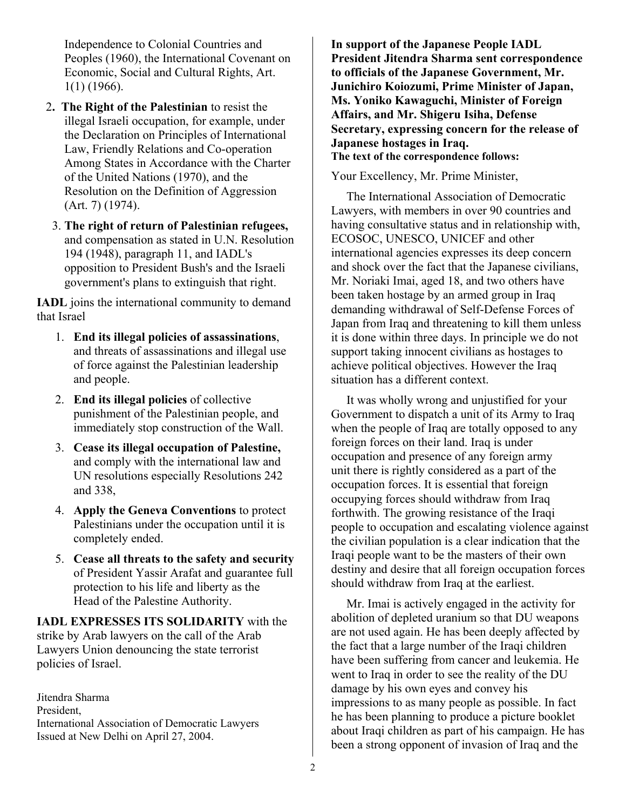Independence to Colonial Countries and Peoples (1960), the International Covenant on Economic, Social and Cultural Rights, Art. 1(1) (1966).

- 2**. The Right of the Palestinian** to resist the illegal Israeli occupation, for example, under the Declaration on Principles of International Law, Friendly Relations and Co-operation Among States in Accordance with the Charter of the United Nations (1970), and the Resolution on the Definition of Aggression (Art. 7) (1974).
	- 3. **The right of return of Palestinian refugees,** and compensation as stated in U.N. Resolution 194 (1948), paragraph 11, and IADL's opposition to President Bush's and the Israeli government's plans to extinguish that right.

**IADL** joins the international community to demand that Israel

- 1. **End its illegal policies of assassinations**, and threats of assassinations and illegal use of force against the Palestinian leadership and people.
- 2. **End its illegal policies** of collective punishment of the Palestinian people, and immediately stop construction of the Wall.
- 3. **Cease its illegal occupation of Palestine,** and comply with the international law and UN resolutions especially Resolutions 242 and 338,
- 4. **Apply the Geneva Conventions** to protect Palestinians under the occupation until it is completely ended.
- 5. **Cease all threats to the safety and security** of President Yassir Arafat and guarantee full protection to his life and liberty as the Head of the Palestine Authority.

**IADL EXPRESSES ITS SOLIDARITY** with the strike by Arab lawyers on the call of the Arab Lawyers Union denouncing the state terrorist policies of Israel.

Jitendra Sharma President, International Association of Democratic Lawyers Issued at New Delhi on April 27, 2004.

**In support of the Japanese People IADL President Jitendra Sharma sent correspondence to officials of the Japanese Government, Mr. Junichiro Koiozumi, Prime Minister of Japan, Ms. Yoniko Kawaguchi, Minister of Foreign Affairs, and Mr. Shigeru Isiha, Defense Secretary, expressing concern for the release of Japanese hostages in Iraq. The text of the correspondence follows:** 

Your Excellency, Mr. Prime Minister,

 The International Association of Democratic Lawyers, with members in over 90 countries and having consultative status and in relationship with, ECOSOC, UNESCO, UNICEF and other international agencies expresses its deep concern and shock over the fact that the Japanese civilians, Mr. Noriaki Imai, aged 18, and two others have been taken hostage by an armed group in Iraq demanding withdrawal of Self-Defense Forces of Japan from Iraq and threatening to kill them unless it is done within three days. In principle we do not support taking innocent civilians as hostages to achieve political objectives. However the Iraq situation has a different context.

 It was wholly wrong and unjustified for your Government to dispatch a unit of its Army to Iraq when the people of Iraq are totally opposed to any foreign forces on their land. Iraq is under occupation and presence of any foreign army unit there is rightly considered as a part of the occupation forces. It is essential that foreign occupying forces should withdraw from Iraq forthwith. The growing resistance of the Iraqi people to occupation and escalating violence against the civilian population is a clear indication that the Iraqi people want to be the masters of their own destiny and desire that all foreign occupation forces should withdraw from Iraq at the earliest.

 Mr. Imai is actively engaged in the activity for abolition of depleted uranium so that DU weapons are not used again. He has been deeply affected by the fact that a large number of the Iraqi children have been suffering from cancer and leukemia. He went to Iraq in order to see the reality of the DU damage by his own eyes and convey his impressions to as many people as possible. In fact he has been planning to produce a picture booklet about Iraqi children as part of his campaign. He has been a strong opponent of invasion of Iraq and the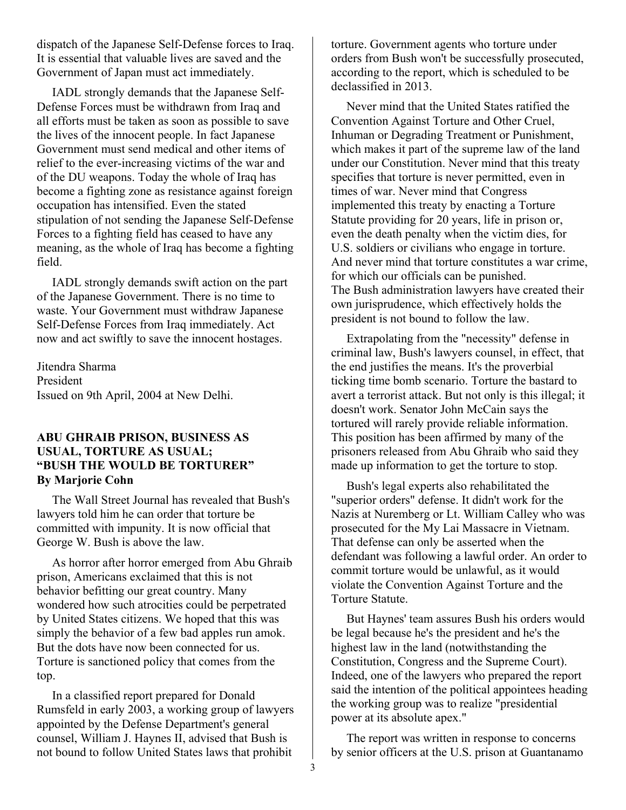dispatch of the Japanese Self-Defense forces to Iraq. It is essential that valuable lives are saved and the Government of Japan must act immediately.

 IADL strongly demands that the Japanese Self-Defense Forces must be withdrawn from Iraq and all efforts must be taken as soon as possible to save the lives of the innocent people. In fact Japanese Government must send medical and other items of relief to the ever-increasing victims of the war and of the DU weapons. Today the whole of Iraq has become a fighting zone as resistance against foreign occupation has intensified. Even the stated stipulation of not sending the Japanese Self-Defense Forces to a fighting field has ceased to have any meaning, as the whole of Iraq has become a fighting field.

 IADL strongly demands swift action on the part of the Japanese Government. There is no time to waste. Your Government must withdraw Japanese Self-Defense Forces from Iraq immediately. Act now and act swiftly to save the innocent hostages.

Jitendra Sharma President Issued on 9th April, 2004 at New Delhi.

#### **ABU GHRAIB PRISON, BUSINESS AS USUAL, TORTURE AS USUAL; "BUSH THE WOULD BE TORTURER" By Marjorie Cohn**

 The Wall Street Journal has revealed that Bush's lawyers told him he can order that torture be committed with impunity. It is now official that George W. Bush is above the law.

 As horror after horror emerged from Abu Ghraib prison, Americans exclaimed that this is not behavior befitting our great country. Many wondered how such atrocities could be perpetrated by United States citizens. We hoped that this was simply the behavior of a few bad apples run amok. But the dots have now been connected for us. Torture is sanctioned policy that comes from the top.

 In a classified report prepared for Donald Rumsfeld in early 2003, a working group of lawyers appointed by the Defense Department's general counsel, William J. Haynes II, advised that Bush is not bound to follow United States laws that prohibit

torture. Government agents who torture under orders from Bush won't be successfully prosecuted, according to the report, which is scheduled to be declassified in 2013.

 Never mind that the United States ratified the Convention Against Torture and Other Cruel, Inhuman or Degrading Treatment or Punishment, which makes it part of the supreme law of the land under our Constitution. Never mind that this treaty specifies that torture is never permitted, even in times of war. Never mind that Congress implemented this treaty by enacting a Torture Statute providing for 20 years, life in prison or, even the death penalty when the victim dies, for U.S. soldiers or civilians who engage in torture. And never mind that torture constitutes a war crime, for which our officials can be punished. The Bush administration lawyers have created their own jurisprudence, which effectively holds the president is not bound to follow the law.

 Extrapolating from the "necessity" defense in criminal law, Bush's lawyers counsel, in effect, that the end justifies the means. It's the proverbial ticking time bomb scenario. Torture the bastard to avert a terrorist attack. But not only is this illegal; it doesn't work. Senator John McCain says the tortured will rarely provide reliable information. This position has been affirmed by many of the prisoners released from Abu Ghraib who said they made up information to get the torture to stop.

 Bush's legal experts also rehabilitated the "superior orders" defense. It didn't work for the Nazis at Nuremberg or Lt. William Calley who was prosecuted for the My Lai Massacre in Vietnam. That defense can only be asserted when the defendant was following a lawful order. An order to commit torture would be unlawful, as it would violate the Convention Against Torture and the Torture Statute.

 But Haynes' team assures Bush his orders would be legal because he's the president and he's the highest law in the land (notwithstanding the Constitution, Congress and the Supreme Court). Indeed, one of the lawyers who prepared the report said the intention of the political appointees heading the working group was to realize "presidential power at its absolute apex."

 The report was written in response to concerns by senior officers at the U.S. prison at Guantanamo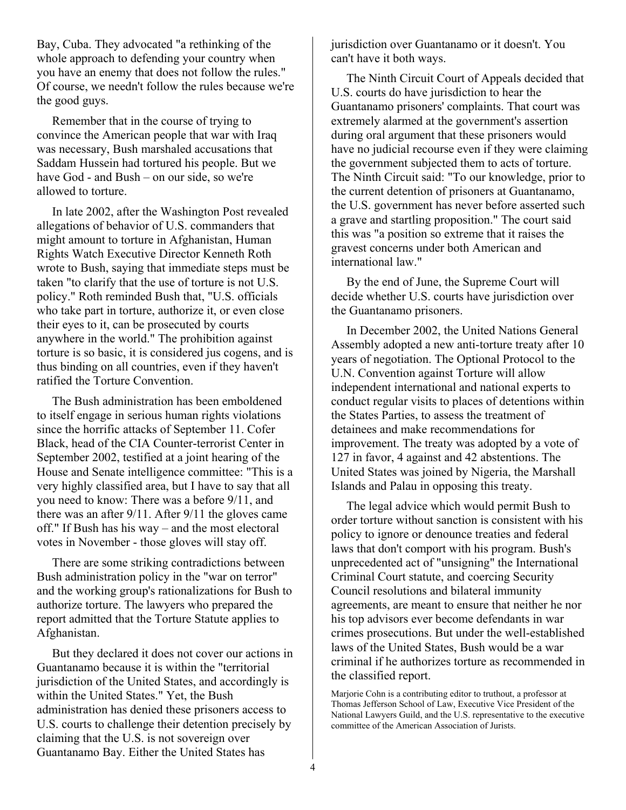Bay, Cuba. They advocated "a rethinking of the whole approach to defending your country when you have an enemy that does not follow the rules." Of course, we needn't follow the rules because we're the good guys.

 Remember that in the course of trying to convince the American people that war with Iraq was necessary, Bush marshaled accusations that Saddam Hussein had tortured his people. But we have God - and Bush – on our side, so we're allowed to torture.

 In late 2002, after the Washington Post revealed allegations of behavior of U.S. commanders that might amount to torture in Afghanistan, Human Rights Watch Executive Director Kenneth Roth wrote to Bush, saying that immediate steps must be taken "to clarify that the use of torture is not U.S. policy." Roth reminded Bush that, "U.S. officials who take part in torture, authorize it, or even close their eyes to it, can be prosecuted by courts anywhere in the world." The prohibition against torture is so basic, it is considered jus cogens, and is thus binding on all countries, even if they haven't ratified the Torture Convention.

 The Bush administration has been emboldened to itself engage in serious human rights violations since the horrific attacks of September 11. Cofer Black, head of the CIA Counter-terrorist Center in September 2002, testified at a joint hearing of the House and Senate intelligence committee: "This is a very highly classified area, but I have to say that all you need to know: There was a before 9/11, and there was an after 9/11. After 9/11 the gloves came off." If Bush has his way – and the most electoral votes in November - those gloves will stay off.

 There are some striking contradictions between Bush administration policy in the "war on terror" and the working group's rationalizations for Bush to authorize torture. The lawyers who prepared the report admitted that the Torture Statute applies to Afghanistan.

 But they declared it does not cover our actions in Guantanamo because it is within the "territorial jurisdiction of the United States, and accordingly is within the United States." Yet, the Bush administration has denied these prisoners access to U.S. courts to challenge their detention precisely by claiming that the U.S. is not sovereign over Guantanamo Bay. Either the United States has

jurisdiction over Guantanamo or it doesn't. You can't have it both ways.

 The Ninth Circuit Court of Appeals decided that U.S. courts do have jurisdiction to hear the Guantanamo prisoners' complaints. That court was extremely alarmed at the government's assertion during oral argument that these prisoners would have no judicial recourse even if they were claiming the government subjected them to acts of torture. The Ninth Circuit said: "To our knowledge, prior to the current detention of prisoners at Guantanamo, the U.S. government has never before asserted such a grave and startling proposition." The court said this was "a position so extreme that it raises the gravest concerns under both American and international law."

 By the end of June, the Supreme Court will decide whether U.S. courts have jurisdiction over the Guantanamo prisoners.

 In December 2002, the United Nations General Assembly adopted a new anti-torture treaty after 10 years of negotiation. The Optional Protocol to the U.N. Convention against Torture will allow independent international and national experts to conduct regular visits to places of detentions within the States Parties, to assess the treatment of detainees and make recommendations for improvement. The treaty was adopted by a vote of 127 in favor, 4 against and 42 abstentions. The United States was joined by Nigeria, the Marshall Islands and Palau in opposing this treaty.

 The legal advice which would permit Bush to order torture without sanction is consistent with his policy to ignore or denounce treaties and federal laws that don't comport with his program. Bush's unprecedented act of "unsigning" the International Criminal Court statute, and coercing Security Council resolutions and bilateral immunity agreements, are meant to ensure that neither he nor his top advisors ever become defendants in war crimes prosecutions. But under the well-established laws of the United States, Bush would be a war criminal if he authorizes torture as recommended in the classified report.

Marjorie Cohn is a contributing editor to truthout, a professor at Thomas Jefferson School of Law, Executive Vice President of the National Lawyers Guild, and the U.S. representative to the executive committee of the American Association of Jurists.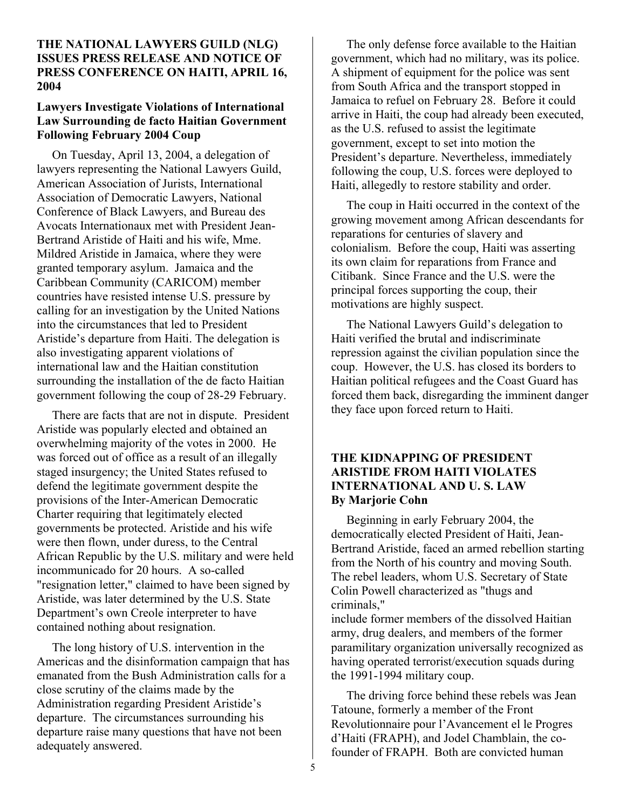## **THE NATIONAL LAWYERS GUILD (NLG) ISSUES PRESS RELEASE AND NOTICE OF PRESS CONFERENCE ON HAITI, APRIL 16, 2004**

## **Lawyers Investigate Violations of International Law Surrounding de facto Haitian Government Following February 2004 Coup**

On Tuesday, April 13, 2004, a delegation of lawyers representing the National Lawyers Guild, American Association of Jurists, International Association of Democratic Lawyers, National Conference of Black Lawyers, and Bureau des Avocats Internationaux met with President Jean-Bertrand Aristide of Haiti and his wife, Mme. Mildred Aristide in Jamaica, where they were granted temporary asylum. Jamaica and the Caribbean Community (CARICOM) member countries have resisted intense U.S. pressure by calling for an investigation by the United Nations into the circumstances that led to President Aristide's departure from Haiti. The delegation is also investigating apparent violations of international law and the Haitian constitution surrounding the installation of the de facto Haitian government following the coup of 28-29 February.

 There are facts that are not in dispute. President Aristide was popularly elected and obtained an overwhelming majority of the votes in 2000. He was forced out of office as a result of an illegally staged insurgency; the United States refused to defend the legitimate government despite the provisions of the Inter-American Democratic Charter requiring that legitimately elected governments be protected. Aristide and his wife were then flown, under duress, to the Central African Republic by the U.S. military and were held incommunicado for 20 hours. A so-called "resignation letter," claimed to have been signed by Aristide, was later determined by the U.S. State Department's own Creole interpreter to have contained nothing about resignation.

 The long history of U.S. intervention in the Americas and the disinformation campaign that has emanated from the Bush Administration calls for a close scrutiny of the claims made by the Administration regarding President Aristide's departure. The circumstances surrounding his departure raise many questions that have not been adequately answered.

 The only defense force available to the Haitian government, which had no military, was its police. A shipment of equipment for the police was sent from South Africa and the transport stopped in Jamaica to refuel on February 28. Before it could arrive in Haiti, the coup had already been executed, as the U.S. refused to assist the legitimate government, except to set into motion the President's departure. Nevertheless, immediately following the coup, U.S. forces were deployed to Haiti, allegedly to restore stability and order.

 The coup in Haiti occurred in the context of the growing movement among African descendants for reparations for centuries of slavery and colonialism. Before the coup, Haiti was asserting its own claim for reparations from France and Citibank. Since France and the U.S. were the principal forces supporting the coup, their motivations are highly suspect.

 The National Lawyers Guild's delegation to Haiti verified the brutal and indiscriminate repression against the civilian population since the coup. However, the U.S. has closed its borders to Haitian political refugees and the Coast Guard has forced them back, disregarding the imminent danger they face upon forced return to Haiti.

## **THE KIDNAPPING OF PRESIDENT ARISTIDE FROM HAITI VIOLATES INTERNATIONAL AND U. S. LAW By Marjorie Cohn**

Beginning in early February 2004, the democratically elected President of Haiti, Jean-Bertrand Aristide, faced an armed rebellion starting from the North of his country and moving South. The rebel leaders, whom U.S. Secretary of State Colin Powell characterized as "thugs and criminals,"

include former members of the dissolved Haitian army, drug dealers, and members of the former paramilitary organization universally recognized as having operated terrorist/execution squads during the 1991-1994 military coup.

 The driving force behind these rebels was Jean Tatoune, formerly a member of the Front Revolutionnaire pour l'Avancement el le Progres d'Haiti (FRAPH), and Jodel Chamblain, the cofounder of FRAPH. Both are convicted human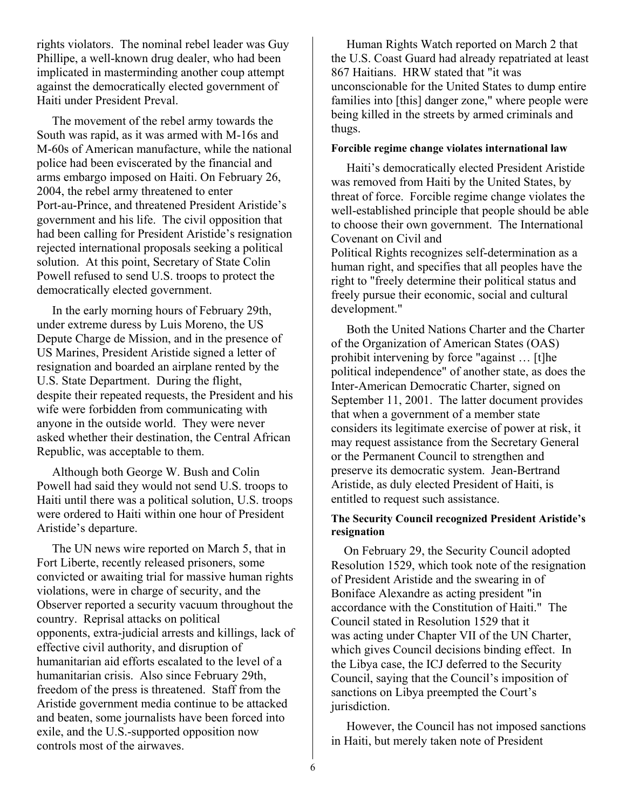rights violators. The nominal rebel leader was Guy Phillipe, a well-known drug dealer, who had been implicated in masterminding another coup attempt against the democratically elected government of Haiti under President Preval.

 The movement of the rebel army towards the South was rapid, as it was armed with M-16s and M-60s of American manufacture, while the national police had been eviscerated by the financial and arms embargo imposed on Haiti. On February 26, 2004, the rebel army threatened to enter Port-au-Prince, and threatened President Aristide's government and his life. The civil opposition that had been calling for President Aristide's resignation rejected international proposals seeking a political solution. At this point, Secretary of State Colin Powell refused to send U.S. troops to protect the democratically elected government.

 In the early morning hours of February 29th, under extreme duress by Luis Moreno, the US Depute Charge de Mission, and in the presence of US Marines, President Aristide signed a letter of resignation and boarded an airplane rented by the U.S. State Department. During the flight, despite their repeated requests, the President and his wife were forbidden from communicating with anyone in the outside world. They were never asked whether their destination, the Central African Republic, was acceptable to them.

 Although both George W. Bush and Colin Powell had said they would not send U.S. troops to Haiti until there was a political solution, U.S. troops were ordered to Haiti within one hour of President Aristide's departure.

 The UN news wire reported on March 5, that in Fort Liberte, recently released prisoners, some convicted or awaiting trial for massive human rights violations, were in charge of security, and the Observer reported a security vacuum throughout the country. Reprisal attacks on political opponents, extra-judicial arrests and killings, lack of effective civil authority, and disruption of humanitarian aid efforts escalated to the level of a humanitarian crisis. Also since February 29th, freedom of the press is threatened. Staff from the Aristide government media continue to be attacked and beaten, some journalists have been forced into exile, and the U.S.-supported opposition now controls most of the airwaves.

 Human Rights Watch reported on March 2 that the U.S. Coast Guard had already repatriated at least 867 Haitians. HRW stated that "it was unconscionable for the United States to dump entire families into [this] danger zone," where people were being killed in the streets by armed criminals and thugs.

#### **Forcible regime change violates international law**

 Haiti's democratically elected President Aristide was removed from Haiti by the United States, by threat of force. Forcible regime change violates the well-established principle that people should be able to choose their own government. The International Covenant on Civil and

Political Rights recognizes self-determination as a human right, and specifies that all peoples have the right to "freely determine their political status and freely pursue their economic, social and cultural development."

 Both the United Nations Charter and the Charter of the Organization of American States (OAS) prohibit intervening by force "against … [t]he political independence" of another state, as does the Inter-American Democratic Charter, signed on September 11, 2001. The latter document provides that when a government of a member state considers its legitimate exercise of power at risk, it may request assistance from the Secretary General or the Permanent Council to strengthen and preserve its democratic system. Jean-Bertrand Aristide, as duly elected President of Haiti, is entitled to request such assistance.

#### **The Security Council recognized President Aristide's resignation**

On February 29, the Security Council adopted Resolution 1529, which took note of the resignation of President Aristide and the swearing in of Boniface Alexandre as acting president "in accordance with the Constitution of Haiti." The Council stated in Resolution 1529 that it was acting under Chapter VII of the UN Charter, which gives Council decisions binding effect. In the Libya case, the ICJ deferred to the Security Council, saying that the Council's imposition of sanctions on Libya preempted the Court's jurisdiction.

 However, the Council has not imposed sanctions in Haiti, but merely taken note of President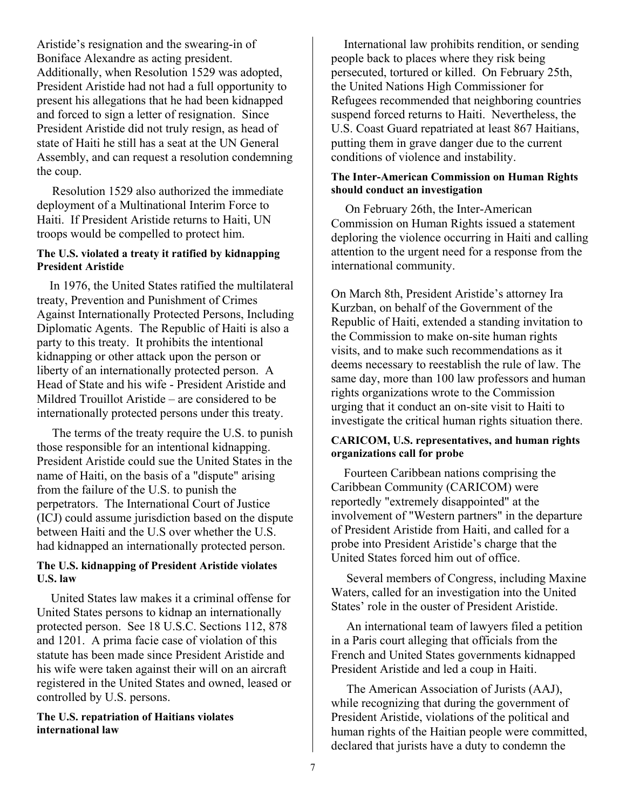Aristide's resignation and the swearing-in of Boniface Alexandre as acting president. Additionally, when Resolution 1529 was adopted, President Aristide had not had a full opportunity to present his allegations that he had been kidnapped and forced to sign a letter of resignation. Since President Aristide did not truly resign, as head of state of Haiti he still has a seat at the UN General Assembly, and can request a resolution condemning the coup.

 Resolution 1529 also authorized the immediate deployment of a Multinational Interim Force to Haiti. If President Aristide returns to Haiti, UN troops would be compelled to protect him.

## **The U.S. violated a treaty it ratified by kidnapping President Aristide**

In 1976, the United States ratified the multilateral treaty, Prevention and Punishment of Crimes Against Internationally Protected Persons, Including Diplomatic Agents. The Republic of Haiti is also a party to this treaty. It prohibits the intentional kidnapping or other attack upon the person or liberty of an internationally protected person. A Head of State and his wife - President Aristide and Mildred Trouillot Aristide – are considered to be internationally protected persons under this treaty.

 The terms of the treaty require the U.S. to punish those responsible for an intentional kidnapping. President Aristide could sue the United States in the name of Haiti, on the basis of a "dispute" arising from the failure of the U.S. to punish the perpetrators. The International Court of Justice (ICJ) could assume jurisdiction based on the dispute between Haiti and the U.S over whether the U.S. had kidnapped an internationally protected person.

## **The U.S. kidnapping of President Aristide violates U.S. law**

United States law makes it a criminal offense for United States persons to kidnap an internationally protected person. See 18 U.S.C. Sections 112, 878 and 1201. A prima facie case of violation of this statute has been made since President Aristide and his wife were taken against their will on an aircraft registered in the United States and owned, leased or controlled by U.S. persons.

#### **The U.S. repatriation of Haitians violates international law**

International law prohibits rendition, or sending people back to places where they risk being persecuted, tortured or killed. On February 25th, the United Nations High Commissioner for Refugees recommended that neighboring countries suspend forced returns to Haiti. Nevertheless, the U.S. Coast Guard repatriated at least 867 Haitians, putting them in grave danger due to the current conditions of violence and instability.

#### **The Inter-American Commission on Human Rights should conduct an investigation**

On February 26th, the Inter-American Commission on Human Rights issued a statement deploring the violence occurring in Haiti and calling attention to the urgent need for a response from the international community.

On March 8th, President Aristide's attorney Ira Kurzban, on behalf of the Government of the Republic of Haiti, extended a standing invitation to the Commission to make on-site human rights visits, and to make such recommendations as it deems necessary to reestablish the rule of law. The same day, more than 100 law professors and human rights organizations wrote to the Commission urging that it conduct an on-site visit to Haiti to investigate the critical human rights situation there.

## **CARICOM, U.S. representatives, and human rights organizations call for probe**

Fourteen Caribbean nations comprising the Caribbean Community (CARICOM) were reportedly "extremely disappointed" at the involvement of "Western partners" in the departure of President Aristide from Haiti, and called for a probe into President Aristide's charge that the United States forced him out of office.

 Several members of Congress, including Maxine Waters, called for an investigation into the United States' role in the ouster of President Aristide.

 An international team of lawyers filed a petition in a Paris court alleging that officials from the French and United States governments kidnapped President Aristide and led a coup in Haiti.

 The American Association of Jurists (AAJ), while recognizing that during the government of President Aristide, violations of the political and human rights of the Haitian people were committed, declared that jurists have a duty to condemn the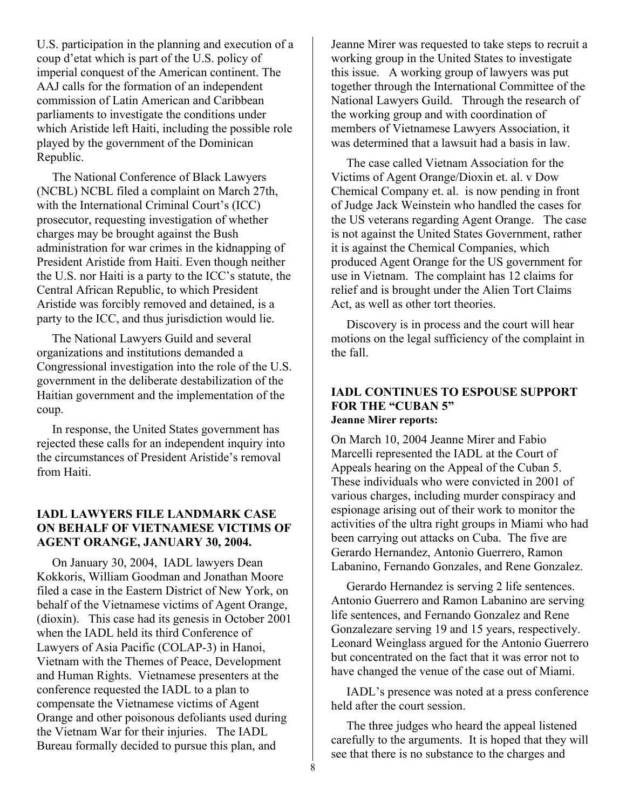U.S. participation in the planning and execution of a coup d'etat which is part of the U.S. policy of imperial conquest of the American continent. The AAJ calls for the formation of an independent commission of Latin American and Caribbean parliaments to investigate the conditions under which Aristide left Haiti, including the possible role played by the government of the Dominican Republic.

 The National Conference of Black Lawyers (NCBL) NCBL filed a complaint on March 27th, with the International Criminal Court's (ICC) prosecutor, requesting investigation of whether charges may be brought against the Bush administration for war crimes in the kidnapping of President Aristide from Haiti. Even though neither the U.S. nor Haiti is a party to the ICC's statute, the Central African Republic, to which President Aristide was forcibly removed and detained, is a party to the ICC, and thus jurisdiction would lie.

 The National Lawyers Guild and several organizations and institutions demanded a Congressional investigation into the role of the U.S. government in the deliberate destabilization of the Haitian government and the implementation of the coup.

 In response, the United States government has rejected these calls for an independent inquiry into the circumstances of President Aristide's removal from Haiti.

## **IADL LAWYERS FILE LANDMARK CASE ON BEHALF OF VIETNAMESE VICTIMS OF AGENT ORANGE, JANUARY 30, 2004.**

On January 30, 2004, IADL lawyers Dean Kokkoris, William Goodman and Jonathan Moore filed a case in the Eastern District of New York, on behalf of the Vietnamese victims of Agent Orange, (dioxin). This case had its genesis in October 2001 when the IADL held its third Conference of Lawyers of Asia Pacific (COLAP-3) in Hanoi, Vietnam with the Themes of Peace, Development and Human Rights. Vietnamese presenters at the conference requested the IADL to a plan to compensate the Vietnamese victims of Agent Orange and other poisonous defoliants used during the Vietnam War for their injuries. The IADL Bureau formally decided to pursue this plan, and

Jeanne Mirer was requested to take steps to recruit a working group in the United States to investigate this issue. A working group of lawyers was put together through the International Committee of the National Lawyers Guild. Through the research of the working group and with coordination of members of Vietnamese Lawyers Association, it was determined that a lawsuit had a basis in law.

 The case called Vietnam Association for the Victims of Agent Orange/Dioxin et. al. v Dow Chemical Company et. al. is now pending in front of Judge Jack Weinstein who handled the cases for the US veterans regarding Agent Orange. The case is not against the United States Government, rather it is against the Chemical Companies, which produced Agent Orange for the US government for use in Vietnam. The complaint has 12 claims for relief and is brought under the Alien Tort Claims Act, as well as other tort theories.

 Discovery is in process and the court will hear motions on the legal sufficiency of the complaint in the fall.

## **IADL CONTINUES TO ESPOUSE SUPPORT FOR THE "CUBAN 5" Jeanne Mirer reports:**

On March 10, 2004 Jeanne Mirer and Fabio Marcelli represented the IADL at the Court of Appeals hearing on the Appeal of the Cuban 5. These individuals who were convicted in 2001 of various charges, including murder conspiracy and espionage arising out of their work to monitor the activities of the ultra right groups in Miami who had been carrying out attacks on Cuba. The five are Gerardo Hernandez, Antonio Guerrero, Ramon Labanino, Fernando Gonzales, and Rene Gonzalez.

 Gerardo Hernandez is serving 2 life sentences. Antonio Guerrero and Ramon Labanino are serving life sentences, and Fernando Gonzalez and Rene Gonzalezare serving 19 and 15 years, respectively. Leonard Weinglass argued for the Antonio Guerrero but concentrated on the fact that it was error not to have changed the venue of the case out of Miami.

 IADL's presence was noted at a press conference held after the court session.

 The three judges who heard the appeal listened carefully to the arguments. It is hoped that they will see that there is no substance to the charges and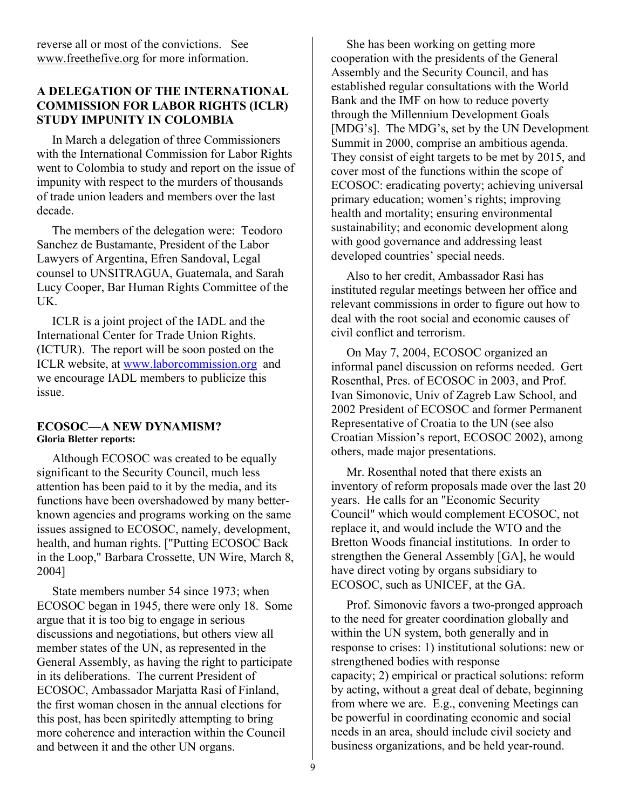reverse all or most of the convictions. See www.freethefive.org for more information.

## **A DELEGATION OF THE INTERNATIONAL COMMISSION FOR LABOR RIGHTS (ICLR) STUDY IMPUNITY IN COLOMBIA**

 In March a delegation of three Commissioners with the International Commission for Labor Rights went to Colombia to study and report on the issue of impunity with respect to the murders of thousands of trade union leaders and members over the last decade.

 The members of the delegation were: Teodoro Sanchez de Bustamante, President of the Labor Lawyers of Argentina, Efren Sandoval, Legal counsel to UNSITRAGUA, Guatemala, and Sarah Lucy Cooper, Bar Human Rights Committee of the UK.

 ICLR is a joint project of the IADL and the International Center for Trade Union Rights. (ICTUR). The report will be soon posted on the ICLR website, at www.laborcommission.org and we encourage IADL members to publicize this issue.

#### **ECOSOC—A NEW DYNAMISM? Gloria Bletter reports:**

Although ECOSOC was created to be equally significant to the Security Council, much less attention has been paid to it by the media, and its functions have been overshadowed by many betterknown agencies and programs working on the same issues assigned to ECOSOC, namely, development, health, and human rights. ["Putting ECOSOC Back in the Loop," Barbara Crossette, UN Wire, March 8, 2004]

 State members number 54 since 1973; when ECOSOC began in 1945, there were only 18. Some argue that it is too big to engage in serious discussions and negotiations, but others view all member states of the UN, as represented in the General Assembly, as having the right to participate in its deliberations. The current President of ECOSOC, Ambassador Marjatta Rasi of Finland, the first woman chosen in the annual elections for this post, has been spiritedly attempting to bring more coherence and interaction within the Council and between it and the other UN organs.

 She has been working on getting more cooperation with the presidents of the General Assembly and the Security Council, and has established regular consultations with the World Bank and the IMF on how to reduce poverty through the Millennium Development Goals [MDG's]. The MDG's, set by the UN Development Summit in 2000, comprise an ambitious agenda. They consist of eight targets to be met by 2015, and cover most of the functions within the scope of ECOSOC: eradicating poverty; achieving universal primary education; women's rights; improving health and mortality; ensuring environmental sustainability; and economic development along with good governance and addressing least developed countries' special needs.

 Also to her credit, Ambassador Rasi has instituted regular meetings between her office and relevant commissions in order to figure out how to deal with the root social and economic causes of civil conflict and terrorism.

 On May 7, 2004, ECOSOC organized an informal panel discussion on reforms needed. Gert Rosenthal, Pres. of ECOSOC in 2003, and Prof. Ivan Simonovic, Univ of Zagreb Law School, and 2002 President of ECOSOC and former Permanent Representative of Croatia to the UN (see also Croatian Mission's report, ECOSOC 2002), among others, made major presentations.

 Mr. Rosenthal noted that there exists an inventory of reform proposals made over the last 20 years. He calls for an "Economic Security Council" which would complement ECOSOC, not replace it, and would include the WTO and the Bretton Woods financial institutions. In order to strengthen the General Assembly [GA], he would have direct voting by organs subsidiary to ECOSOC, such as UNICEF, at the GA.

 Prof. Simonovic favors a two-pronged approach to the need for greater coordination globally and within the UN system, both generally and in response to crises: 1) institutional solutions: new or strengthened bodies with response capacity; 2) empirical or practical solutions: reform by acting, without a great deal of debate, beginning from where we are. E.g., convening Meetings can be powerful in coordinating economic and social needs in an area, should include civil society and business organizations, and be held year-round.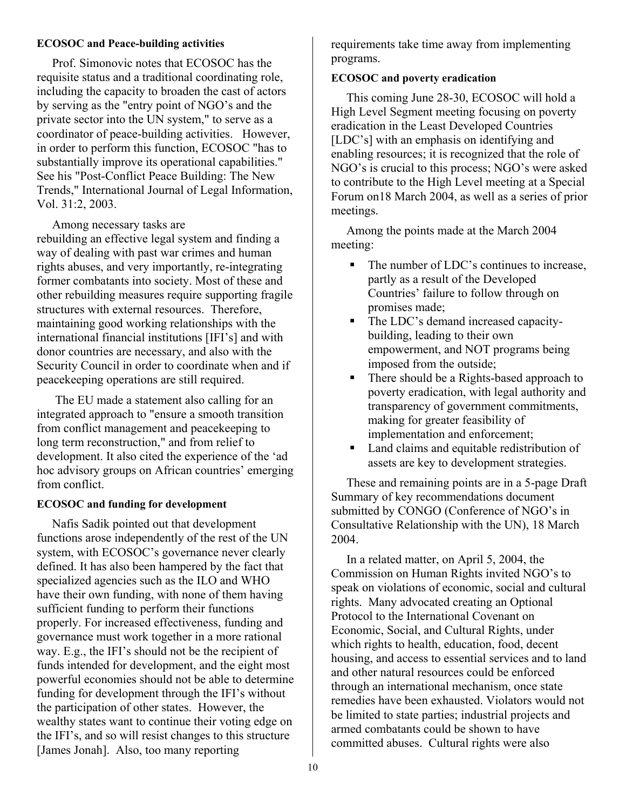#### **ECOSOC and Peace-building activities**

Prof. Simonovic notes that ECOSOC has the requisite status and a traditional coordinating role, including the capacity to broaden the cast of actors by serving as the "entry point of NGO's and the private sector into the UN system," to serve as a coordinator of peace-building activities. However, in order to perform this function, ECOSOC "has to substantially improve its operational capabilities." See his "Post-Conflict Peace Building: The New Trends," International Journal of Legal Information, Vol. 31:2, 2003.

Among necessary tasks are

rebuilding an effective legal system and finding a way of dealing with past war crimes and human rights abuses, and very importantly, re-integrating former combatants into society. Most of these and other rebuilding measures require supporting fragile structures with external resources. Therefore, maintaining good working relationships with the international financial institutions [IFI's] and with donor countries are necessary, and also with the Security Council in order to coordinate when and if peacekeeping operations are still required.

The EU made a statement also calling for an integrated approach to "ensure a smooth transition from conflict management and peacekeeping to long term reconstruction," and from relief to development. It also cited the experience of the 'ad hoc advisory groups on African countries' emerging from conflict.

## **ECOSOC and funding for development**

Nafis Sadik pointed out that development functions arose independently of the rest of the UN system, with ECOSOC's governance never clearly defined. It has also been hampered by the fact that specialized agencies such as the ILO and WHO have their own funding, with none of them having sufficient funding to perform their functions properly. For increased effectiveness, funding and governance must work together in a more rational way. E.g., the IFI's should not be the recipient of funds intended for development, and the eight most powerful economies should not be able to determine funding for development through the IFI's without the participation of other states. However, the wealthy states want to continue their voting edge on the IFI's, and so will resist changes to this structure [James Jonah]. Also, too many reporting

requirements take time away from implementing programs.

## **ECOSOC and poverty eradication**

This coming June 28-30, ECOSOC will hold a High Level Segment meeting focusing on poverty eradication in the Least Developed Countries [LDC's] with an emphasis on identifying and enabling resources; it is recognized that the role of NGO's is crucial to this process; NGO's were asked to contribute to the High Level meeting at a Special Forum on18 March 2004, as well as a series of prior meetings.

 Among the points made at the March 2004 meeting:

- The number of LDC's continues to increase, partly as a result of the Developed Countries' failure to follow through on promises made;
- The LDC's demand increased capacitybuilding, leading to their own empowerment, and NOT programs being imposed from the outside;
- There should be a Rights-based approach to poverty eradication, with legal authority and transparency of government commitments, making for greater feasibility of implementation and enforcement;
- Land claims and equitable redistribution of assets are key to development strategies.

 These and remaining points are in a 5-page Draft Summary of key recommendations document submitted by CONGO (Conference of NGO's in Consultative Relationship with the UN), 18 March 2004.

 In a related matter, on April 5, 2004, the Commission on Human Rights invited NGO's to speak on violations of economic, social and cultural rights. Many advocated creating an Optional Protocol to the International Covenant on Economic, Social, and Cultural Rights, under which rights to health, education, food, decent housing, and access to essential services and to land and other natural resources could be enforced through an international mechanism, once state remedies have been exhausted. Violators would not be limited to state parties; industrial projects and armed combatants could be shown to have committed abuses. Cultural rights were also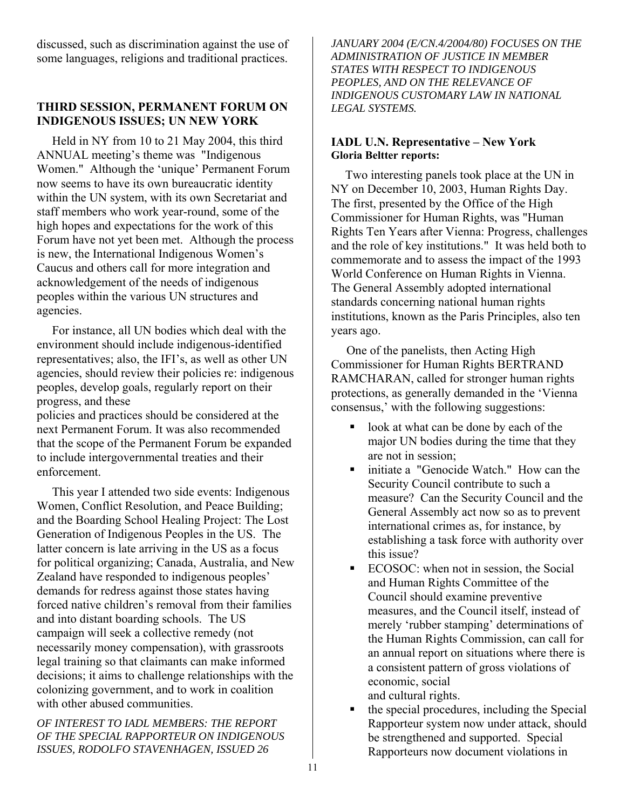discussed, such as discrimination against the use of some languages, religions and traditional practices.

## **THIRD SESSION, PERMANENT FORUM ON INDIGENOUS ISSUES; UN NEW YORK**

Held in NY from 10 to 21 May 2004, this third ANNUAL meeting's theme was "Indigenous Women." Although the 'unique' Permanent Forum now seems to have its own bureaucratic identity within the UN system, with its own Secretariat and staff members who work year-round, some of the high hopes and expectations for the work of this Forum have not yet been met. Although the process is new, the International Indigenous Women's Caucus and others call for more integration and acknowledgement of the needs of indigenous peoples within the various UN structures and agencies.

 For instance, all UN bodies which deal with the environment should include indigenous-identified representatives; also, the IFI's, as well as other UN agencies, should review their policies re: indigenous peoples, develop goals, regularly report on their progress, and these

policies and practices should be considered at the next Permanent Forum. It was also recommended that the scope of the Permanent Forum be expanded to include intergovernmental treaties and their enforcement.

 This year I attended two side events: Indigenous Women, Conflict Resolution, and Peace Building; and the Boarding School Healing Project: The Lost Generation of Indigenous Peoples in the US. The latter concern is late arriving in the US as a focus for political organizing; Canada, Australia, and New Zealand have responded to indigenous peoples' demands for redress against those states having forced native children's removal from their families and into distant boarding schools. The US campaign will seek a collective remedy (not necessarily money compensation), with grassroots legal training so that claimants can make informed decisions; it aims to challenge relationships with the colonizing government, and to work in coalition with other abused communities.

*OF INTEREST TO IADL MEMBERS: THE REPORT OF THE SPECIAL RAPPORTEUR ON INDIGENOUS ISSUES, RODOLFO STAVENHAGEN, ISSUED 26* 

*JANUARY 2004 (E/CN.4/2004/80) FOCUSES ON THE ADMINISTRATION OF JUSTICE IN MEMBER STATES WITH RESPECT TO INDIGENOUS PEOPLES, AND ON THE RELEVANCE OF INDIGENOUS CUSTOMARY LAW IN NATIONAL LEGAL SYSTEMS.*

## **IADL U.N. Representative – New York Gloria Beltter reports:**

Two interesting panels took place at the UN in NY on December 10, 2003, Human Rights Day. The first, presented by the Office of the High Commissioner for Human Rights, was "Human Rights Ten Years after Vienna: Progress, challenges and the role of key institutions." It was held both to commemorate and to assess the impact of the 1993 World Conference on Human Rights in Vienna. The General Assembly adopted international standards concerning national human rights institutions, known as the Paris Principles, also ten years ago.

 One of the panelists, then Acting High Commissioner for Human Rights BERTRAND RAMCHARAN, called for stronger human rights protections, as generally demanded in the 'Vienna consensus,' with the following suggestions:

- look at what can be done by each of the major UN bodies during the time that they are not in session;
- **Initiate a "Genocide Watch."** How can the Security Council contribute to such a measure? Can the Security Council and the General Assembly act now so as to prevent international crimes as, for instance, by establishing a task force with authority over this issue?
- ECOSOC: when not in session, the Social and Human Rights Committee of the Council should examine preventive measures, and the Council itself, instead of merely 'rubber stamping' determinations of the Human Rights Commission, can call for an annual report on situations where there is a consistent pattern of gross violations of economic, social and cultural rights.
- the special procedures, including the Special Rapporteur system now under attack, should be strengthened and supported. Special Rapporteurs now document violations in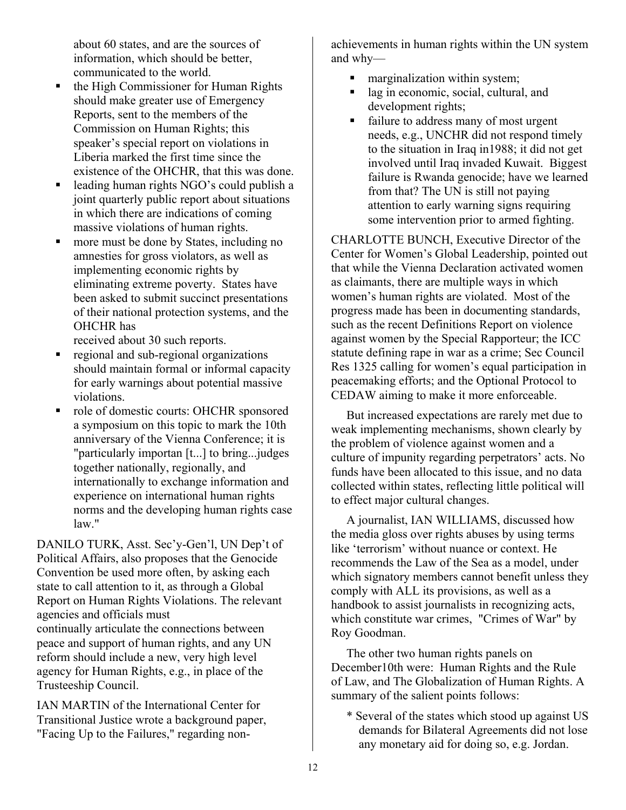about 60 states, and are the sources of information, which should be better, communicated to the world.

- the High Commissioner for Human Rights should make greater use of Emergency Reports, sent to the members of the Commission on Human Rights; this speaker's special report on violations in Liberia marked the first time since the existence of the OHCHR, that this was done.
- leading human rights NGO's could publish a joint quarterly public report about situations in which there are indications of coming massive violations of human rights.
- more must be done by States, including no amnesties for gross violators, as well as implementing economic rights by eliminating extreme poverty. States have been asked to submit succinct presentations of their national protection systems, and the OHCHR has

received about 30 such reports.

- regional and sub-regional organizations should maintain formal or informal capacity for early warnings about potential massive violations.
- role of domestic courts: OHCHR sponsored a symposium on this topic to mark the 10th anniversary of the Vienna Conference; it is "particularly importan [t...] to bring...judges together nationally, regionally, and internationally to exchange information and experience on international human rights norms and the developing human rights case law."

DANILO TURK, Asst. Sec'y-Gen'l, UN Dep't of Political Affairs, also proposes that the Genocide Convention be used more often, by asking each state to call attention to it, as through a Global Report on Human Rights Violations. The relevant agencies and officials must continually articulate the connections between peace and support of human rights, and any UN reform should include a new, very high level agency for Human Rights, e.g., in place of the Trusteeship Council.

IAN MARTIN of the International Center for Transitional Justice wrote a background paper, "Facing Up to the Failures," regarding nonachievements in human rights within the UN system and why—

- marginalization within system;
- lag in economic, social, cultural, and development rights;
- failure to address many of most urgent needs, e.g., UNCHR did not respond timely to the situation in Iraq in1988; it did not get involved until Iraq invaded Kuwait. Biggest failure is Rwanda genocide; have we learned from that? The UN is still not paying attention to early warning signs requiring some intervention prior to armed fighting.

CHARLOTTE BUNCH, Executive Director of the Center for Women's Global Leadership, pointed out that while the Vienna Declaration activated women as claimants, there are multiple ways in which women's human rights are violated. Most of the progress made has been in documenting standards, such as the recent Definitions Report on violence against women by the Special Rapporteur; the ICC statute defining rape in war as a crime; Sec Council Res 1325 calling for women's equal participation in peacemaking efforts; and the Optional Protocol to CEDAW aiming to make it more enforceable.

 But increased expectations are rarely met due to weak implementing mechanisms, shown clearly by the problem of violence against women and a culture of impunity regarding perpetrators' acts. No funds have been allocated to this issue, and no data collected within states, reflecting little political will to effect major cultural changes.

 A journalist, IAN WILLIAMS, discussed how the media gloss over rights abuses by using terms like 'terrorism' without nuance or context. He recommends the Law of the Sea as a model, under which signatory members cannot benefit unless they comply with ALL its provisions, as well as a handbook to assist journalists in recognizing acts, which constitute war crimes, "Crimes of War" by Roy Goodman.

 The other two human rights panels on December10th were: Human Rights and the Rule of Law, and The Globalization of Human Rights. A summary of the salient points follows:

 \* Several of the states which stood up against US demands for Bilateral Agreements did not lose any monetary aid for doing so, e.g. Jordan.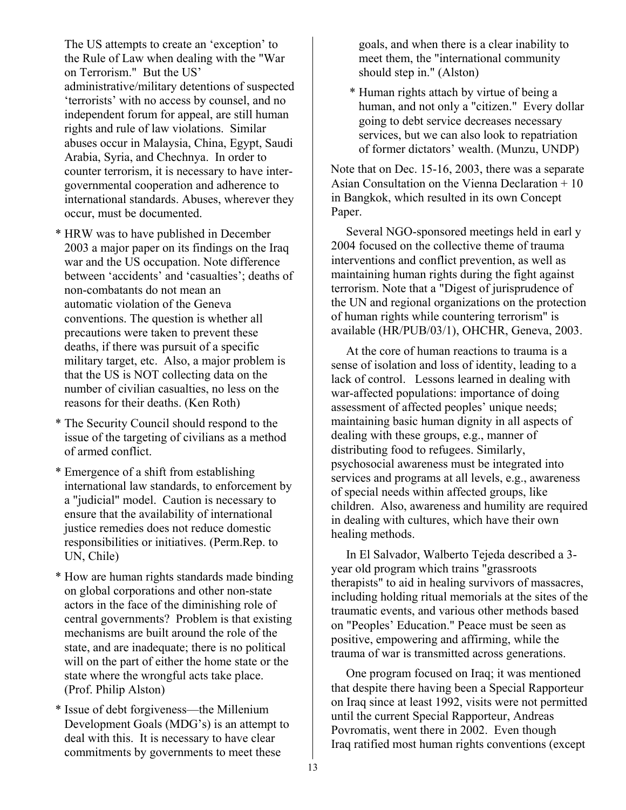The US attempts to create an 'exception' to the Rule of Law when dealing with the "War on Terrorism." But the US' administrative/military detentions of suspected 'terrorists' with no access by counsel, and no independent forum for appeal, are still human rights and rule of law violations. Similar abuses occur in Malaysia, China, Egypt, Saudi Arabia, Syria, and Chechnya. In order to counter terrorism, it is necessary to have intergovernmental cooperation and adherence to international standards. Abuses, wherever they occur, must be documented.

- \* HRW was to have published in December 2003 a major paper on its findings on the Iraq war and the US occupation. Note difference between 'accidents' and 'casualties'; deaths of non-combatants do not mean an automatic violation of the Geneva conventions. The question is whether all precautions were taken to prevent these deaths, if there was pursuit of a specific military target, etc. Also, a major problem is that the US is NOT collecting data on the number of civilian casualties, no less on the reasons for their deaths. (Ken Roth)
- \* The Security Council should respond to the issue of the targeting of civilians as a method of armed conflict.
- \* Emergence of a shift from establishing international law standards, to enforcement by a "judicial" model. Caution is necessary to ensure that the availability of international justice remedies does not reduce domestic responsibilities or initiatives. (Perm.Rep. to UN, Chile)
- \* How are human rights standards made binding on global corporations and other non-state actors in the face of the diminishing role of central governments? Problem is that existing mechanisms are built around the role of the state, and are inadequate; there is no political will on the part of either the home state or the state where the wrongful acts take place. (Prof. Philip Alston)
- \* Issue of debt forgiveness—the Millenium Development Goals (MDG's) is an attempt to deal with this. It is necessary to have clear commitments by governments to meet these

goals, and when there is a clear inability to meet them, the "international community should step in." (Alston)

\* Human rights attach by virtue of being a human, and not only a "citizen." Every dollar going to debt service decreases necessary services, but we can also look to repatriation of former dictators' wealth. (Munzu, UNDP)

Note that on Dec. 15-16, 2003, there was a separate Asian Consultation on the Vienna Declaration + 10 in Bangkok, which resulted in its own Concept Paper.

 Several NGO-sponsored meetings held in earl y 2004 focused on the collective theme of trauma interventions and conflict prevention, as well as maintaining human rights during the fight against terrorism. Note that a "Digest of jurisprudence of the UN and regional organizations on the protection of human rights while countering terrorism" is available (HR/PUB/03/1), OHCHR, Geneva, 2003.

 At the core of human reactions to trauma is a sense of isolation and loss of identity, leading to a lack of control. Lessons learned in dealing with war-affected populations: importance of doing assessment of affected peoples' unique needs; maintaining basic human dignity in all aspects of dealing with these groups, e.g., manner of distributing food to refugees. Similarly, psychosocial awareness must be integrated into services and programs at all levels, e.g., awareness of special needs within affected groups, like children. Also, awareness and humility are required in dealing with cultures, which have their own healing methods.

 In El Salvador, Walberto Tejeda described a 3 year old program which trains "grassroots therapists" to aid in healing survivors of massacres, including holding ritual memorials at the sites of the traumatic events, and various other methods based on "Peoples' Education." Peace must be seen as positive, empowering and affirming, while the trauma of war is transmitted across generations.

 One program focused on Iraq; it was mentioned that despite there having been a Special Rapporteur on Iraq since at least 1992, visits were not permitted until the current Special Rapporteur, Andreas Povromatis, went there in 2002. Even though Iraq ratified most human rights conventions (except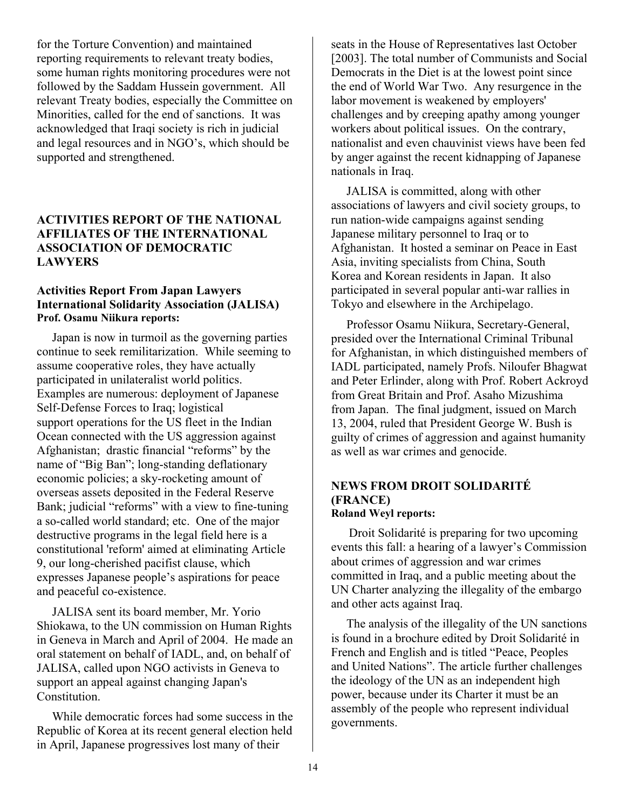for the Torture Convention) and maintained reporting requirements to relevant treaty bodies, some human rights monitoring procedures were not followed by the Saddam Hussein government. All relevant Treaty bodies, especially the Committee on Minorities, called for the end of sanctions. It was acknowledged that Iraqi society is rich in judicial and legal resources and in NGO's, which should be supported and strengthened.

## **ACTIVITIES REPORT OF THE NATIONAL AFFILIATES OF THE INTERNATIONAL ASSOCIATION OF DEMOCRATIC LAWYERS**

#### **Activities Report From Japan Lawyers International Solidarity Association (JALISA) Prof. Osamu Niikura reports:**

Japan is now in turmoil as the governing parties continue to seek remilitarization. While seeming to assume cooperative roles, they have actually participated in unilateralist world politics. Examples are numerous: deployment of Japanese Self-Defense Forces to Iraq; logistical support operations for the US fleet in the Indian Ocean connected with the US aggression against Afghanistan; drastic financial "reforms" by the name of "Big Ban"; long-standing deflationary economic policies; a sky-rocketing amount of overseas assets deposited in the Federal Reserve Bank; judicial "reforms" with a view to fine-tuning a so-called world standard; etc. One of the major destructive programs in the legal field here is a constitutional 'reform' aimed at eliminating Article 9, our long-cherished pacifist clause, which expresses Japanese people's aspirations for peace and peaceful co-existence.

 JALISA sent its board member, Mr. Yorio Shiokawa, to the UN commission on Human Rights in Geneva in March and April of 2004. He made an oral statement on behalf of IADL, and, on behalf of JALISA, called upon NGO activists in Geneva to support an appeal against changing Japan's Constitution.

 While democratic forces had some success in the Republic of Korea at its recent general election held in April, Japanese progressives lost many of their

seats in the House of Representatives last October [2003]. The total number of Communists and Social Democrats in the Diet is at the lowest point since the end of World War Two. Any resurgence in the labor movement is weakened by employers' challenges and by creeping apathy among younger workers about political issues. On the contrary, nationalist and even chauvinist views have been fed by anger against the recent kidnapping of Japanese nationals in Iraq.

 JALISA is committed, along with other associations of lawyers and civil society groups, to run nation-wide campaigns against sending Japanese military personnel to Iraq or to Afghanistan. It hosted a seminar on Peace in East Asia, inviting specialists from China, South Korea and Korean residents in Japan. It also participated in several popular anti-war rallies in Tokyo and elsewhere in the Archipelago.

 Professor Osamu Niikura, Secretary-General, presided over the International Criminal Tribunal for Afghanistan, in which distinguished members of IADL participated, namely Profs. Niloufer Bhagwat and Peter Erlinder, along with Prof. Robert Ackroyd from Great Britain and Prof. Asaho Mizushima from Japan. The final judgment, issued on March 13, 2004, ruled that President George W. Bush is guilty of crimes of aggression and against humanity as well as war crimes and genocide.

## **NEWS FROM DROIT SOLIDARITÉ (FRANCE) Roland Weyl reports:**

 Droit Solidarité is preparing for two upcoming events this fall: a hearing of a lawyer's Commission about crimes of aggression and war crimes committed in Iraq, and a public meeting about the UN Charter analyzing the illegality of the embargo and other acts against Iraq.

 The analysis of the illegality of the UN sanctions is found in a brochure edited by Droit Solidarité in French and English and is titled "Peace, Peoples and United Nations". The article further challenges the ideology of the UN as an independent high power, because under its Charter it must be an assembly of the people who represent individual governments.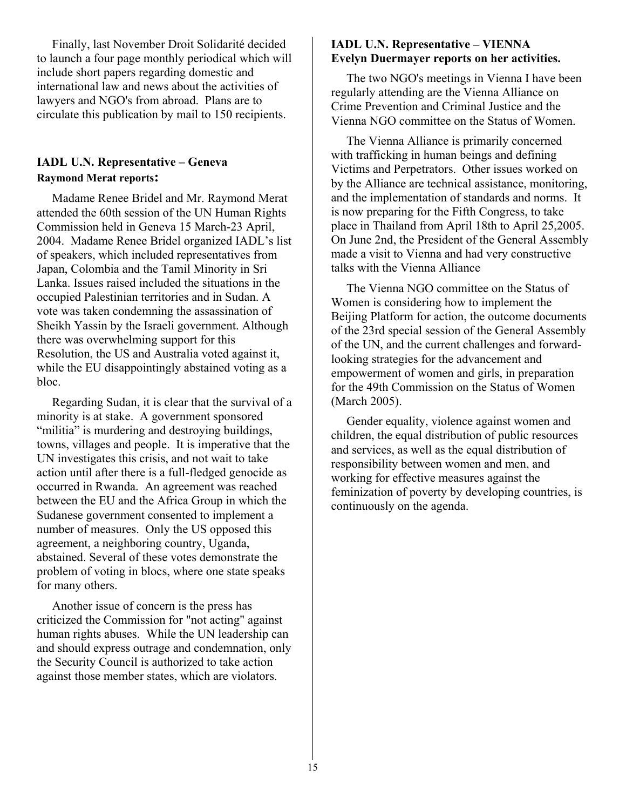Finally, last November Droit Solidarité decided to launch a four page monthly periodical which will include short papers regarding domestic and international law and news about the activities of lawyers and NGO's from abroad. Plans are to circulate this publication by mail to 150 recipients.

## **IADL U.N. Representative – Geneva Raymond Merat reports:**

 Madame Renee Bridel and Mr. Raymond Merat attended the 60th session of the UN Human Rights Commission held in Geneva 15 March-23 April, 2004. Madame Renee Bridel organized IADL's list of speakers, which included representatives from Japan, Colombia and the Tamil Minority in Sri Lanka. Issues raised included the situations in the occupied Palestinian territories and in Sudan. A vote was taken condemning the assassination of Sheikh Yassin by the Israeli government. Although there was overwhelming support for this Resolution, the US and Australia voted against it, while the EU disappointingly abstained voting as a bloc.

 Regarding Sudan, it is clear that the survival of a minority is at stake. A government sponsored "militia" is murdering and destroying buildings, towns, villages and people. It is imperative that the UN investigates this crisis, and not wait to take action until after there is a full-fledged genocide as occurred in Rwanda. An agreement was reached between the EU and the Africa Group in which the Sudanese government consented to implement a number of measures. Only the US opposed this agreement, a neighboring country, Uganda, abstained. Several of these votes demonstrate the problem of voting in blocs, where one state speaks for many others.

 Another issue of concern is the press has criticized the Commission for "not acting" against human rights abuses. While the UN leadership can and should express outrage and condemnation, only the Security Council is authorized to take action against those member states, which are violators.

## **IADL U.N. Representative – VIENNA Evelyn Duermayer reports on her activities.**

 The two NGO's meetings in Vienna I have been regularly attending are the Vienna Alliance on Crime Prevention and Criminal Justice and the Vienna NGO committee on the Status of Women.

 The Vienna Alliance is primarily concerned with trafficking in human beings and defining Victims and Perpetrators. Other issues worked on by the Alliance are technical assistance, monitoring, and the implementation of standards and norms. It is now preparing for the Fifth Congress, to take place in Thailand from April 18th to April 25,2005. On June 2nd, the President of the General Assembly made a visit to Vienna and had very constructive talks with the Vienna Alliance

 The Vienna NGO committee on the Status of Women is considering how to implement the Beijing Platform for action, the outcome documents of the 23rd special session of the General Assembly of the UN, and the current challenges and forwardlooking strategies for the advancement and empowerment of women and girls, in preparation for the 49th Commission on the Status of Women (March 2005).

 Gender equality, violence against women and children, the equal distribution of public resources and services, as well as the equal distribution of responsibility between women and men, and working for effective measures against the feminization of poverty by developing countries, is continuously on the agenda.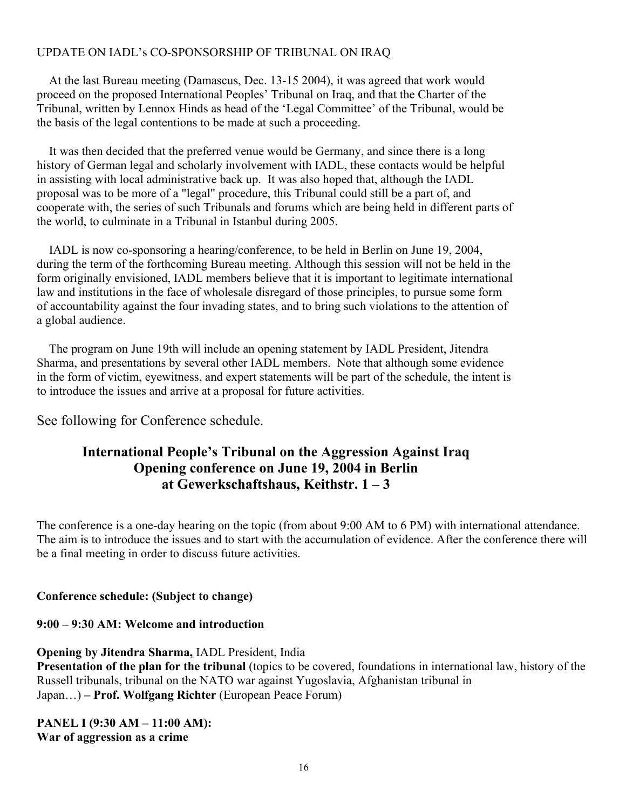## UPDATE ON IADL's CO-SPONSORSHIP OF TRIBUNAL ON IRAQ

 At the last Bureau meeting (Damascus, Dec. 13-15 2004), it was agreed that work would proceed on the proposed International Peoples' Tribunal on Iraq, and that the Charter of the Tribunal, written by Lennox Hinds as head of the 'Legal Committee' of the Tribunal, would be the basis of the legal contentions to be made at such a proceeding.

 It was then decided that the preferred venue would be Germany, and since there is a long history of German legal and scholarly involvement with IADL, these contacts would be helpful in assisting with local administrative back up. It was also hoped that, although the IADL proposal was to be more of a "legal" procedure, this Tribunal could still be a part of, and cooperate with, the series of such Tribunals and forums which are being held in different parts of the world, to culminate in a Tribunal in Istanbul during 2005.

 IADL is now co-sponsoring a hearing/conference, to be held in Berlin on June 19, 2004, during the term of the forthcoming Bureau meeting. Although this session will not be held in the form originally envisioned, IADL members believe that it is important to legitimate international law and institutions in the face of wholesale disregard of those principles, to pursue some form of accountability against the four invading states, and to bring such violations to the attention of a global audience.

 The program on June 19th will include an opening statement by IADL President, Jitendra Sharma, and presentations by several other IADL members. Note that although some evidence in the form of victim, eyewitness, and expert statements will be part of the schedule, the intent is to introduce the issues and arrive at a proposal for future activities.

See following for Conference schedule.

## **International People's Tribunal on the Aggression Against Iraq Opening conference on June 19, 2004 in Berlin at Gewerkschaftshaus, Keithstr. 1 – 3**

The conference is a one-day hearing on the topic (from about 9:00 AM to 6 PM) with international attendance. The aim is to introduce the issues and to start with the accumulation of evidence. After the conference there will be a final meeting in order to discuss future activities.

## **Conference schedule: (Subject to change)**

**9:00 – 9:30 AM: Welcome and introduction** 

**Opening by Jitendra Sharma,** IADL President, India **Presentation of the plan for the tribunal** (topics to be covered, foundations in international law, history of the Russell tribunals, tribunal on the NATO war against Yugoslavia, Afghanistan tribunal in Japan...) – Prof. Wolfgang Richter (European Peace Forum)

**PANEL I (9:30 AM – 11:00 AM): War of aggression as a crime**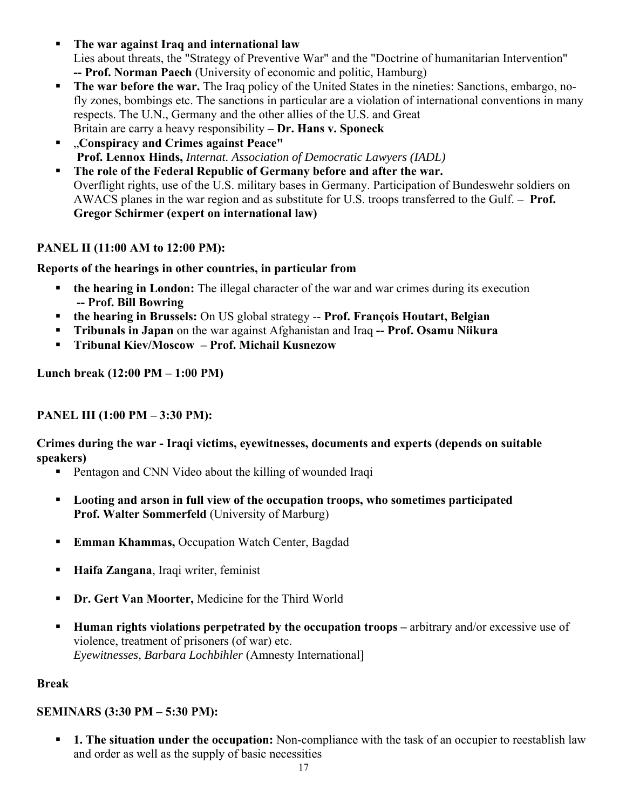- **The war against Iraq and international law**  Lies about threats, the "Strategy of Preventive War" and the "Doctrine of humanitarian Intervention" **-- Prof. Norman Paech** (University of economic and politic, Hamburg)
- **The war before the war.** The Iraq policy of the United States in the nineties: Sanctions, embargo, nofly zones, bombings etc. The sanctions in particular are a violation of international conventions in many respects. The U.N., Germany and the other allies of the U.S. and Great Britain are carry a heavy responsibility **– Dr. Hans v. Sponeck**
- "**Conspiracy and Crimes against Peace" Prof. Lennox Hinds,** *Internat. Association of Democratic Lawyers (IADL)*
- **The role of the Federal Republic of Germany before and after the war.**  Overflight rights, use of the U.S. military bases in Germany. Participation of Bundeswehr soldiers on AWACS planes in the war region and as substitute for U.S. troops transferred to the Gulf. **– Prof. Gregor Schirmer (expert on international law)**

## **PANEL II (11:00 AM to 12:00 PM):**

**Reports of the hearings in other countries, in particular from** 

- **the hearing in London:** The illegal character of the war and war crimes during its execution **-- Prof. Bill Bowring**
- **the hearing in Brussels:** On US global strategy -- **Prof. François Houtart, Belgian**
- **Tribunals in Japan** on the war against Afghanistan and Iraq **-- Prof. Osamu Niikura**
- **Tribunal Kiev/Moscow Prof. Michail Kusnezow**

**Lunch break (12:00 PM – 1:00 PM)** 

## **PANEL III (1:00 PM – 3:30 PM):**

**Crimes during the war - Iraqi victims, eyewitnesses, documents and experts (depends on suitable speakers)** 

- **Pentagon and CNN Video about the killing of wounded Iraqi**
- **Looting and arson in full view of the occupation troops, who sometimes participated Prof. Walter Sommerfeld** (University of Marburg)
- **Emman Khammas, Occupation Watch Center, Bagdad**
- **Haifa Zangana**, Iraqi writer, feminist
- **Dr. Gert Van Moorter, Medicine for the Third World**
- **Human rights violations perpetrated by the occupation troops arbitrary and/or excessive use of** violence, treatment of prisoners (of war) etc. *Eyewitnesses, Barbara Lochbihler* (Amnesty International]

## **Break**

## **SEMINARS (3:30 PM – 5:30 PM):**

 **1. The situation under the occupation:** Non-compliance with the task of an occupier to reestablish law and order as well as the supply of basic necessities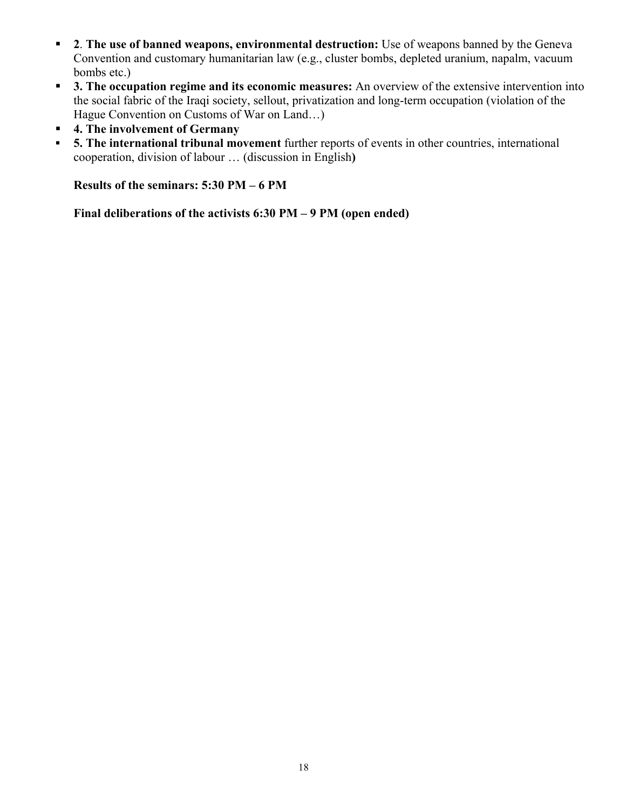- **2**. The use of banned weapons, environmental destruction: Use of weapons banned by the Geneva Convention and customary humanitarian law (e.g., cluster bombs, depleted uranium, napalm, vacuum bombs etc.)
- **3. The occupation regime and its economic measures:** An overview of the extensive intervention into the social fabric of the Iraqi society, sellout, privatization and long-term occupation (violation of the Hague Convention on Customs of War on Land…)
- **4. The involvement of Germany**
- **5. The international tribunal movement** further reports of events in other countries, international cooperation, division of labour … (discussion in English**)**

**Results of the seminars: 5:30 PM – 6 PM** 

**Final deliberations of the activists 6:30 PM – 9 PM (open ended)**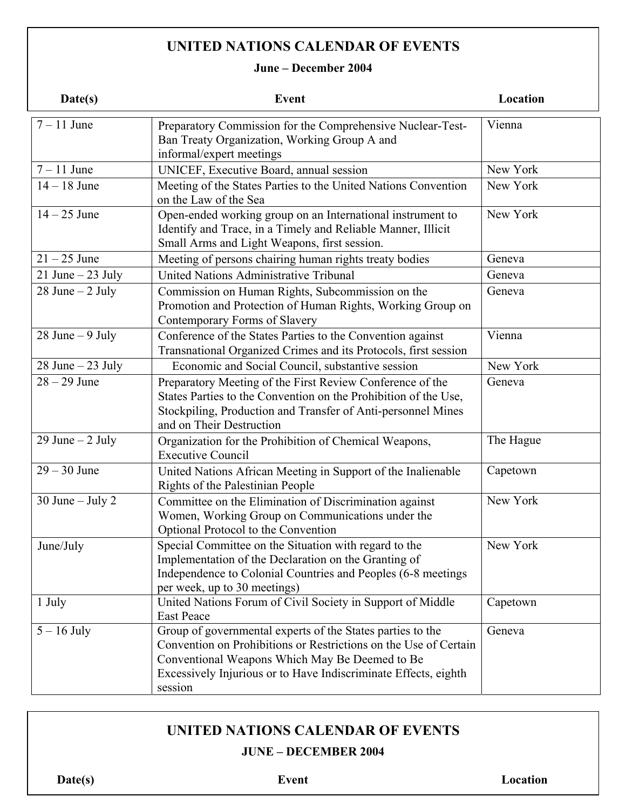# **UNITED NATIONS CALENDAR OF EVENTS**

## **June – December 2004**

| Date(s)              | <b>Event</b>                                                                                                                                                                                                                                                   | Location  |
|----------------------|----------------------------------------------------------------------------------------------------------------------------------------------------------------------------------------------------------------------------------------------------------------|-----------|
| $7 - 11$ June        | Preparatory Commission for the Comprehensive Nuclear-Test-<br>Ban Treaty Organization, Working Group A and<br>informal/expert meetings                                                                                                                         | Vienna    |
| $7 - 11$ June        | UNICEF, Executive Board, annual session                                                                                                                                                                                                                        | New York  |
| $14 - 18$ June       | Meeting of the States Parties to the United Nations Convention<br>on the Law of the Sea                                                                                                                                                                        | New York  |
| $14 - 25$ June       | Open-ended working group on an International instrument to<br>Identify and Trace, in a Timely and Reliable Manner, Illicit<br>Small Arms and Light Weapons, first session.                                                                                     | New York  |
| $21 - 25$ June       | Meeting of persons chairing human rights treaty bodies                                                                                                                                                                                                         | Geneva    |
| 21 June $-$ 23 July  | United Nations Administrative Tribunal                                                                                                                                                                                                                         | Geneva    |
| $28$ June $-2$ July  | Commission on Human Rights, Subcommission on the<br>Promotion and Protection of Human Rights, Working Group on<br>Contemporary Forms of Slavery                                                                                                                | Geneva    |
| $28$ June $-9$ July  | Conference of the States Parties to the Convention against<br>Transnational Organized Crimes and its Protocols, first session                                                                                                                                  | Vienna    |
| $28$ June $-23$ July | Economic and Social Council, substantive session                                                                                                                                                                                                               | New York  |
| $28 - 29$ June       | Preparatory Meeting of the First Review Conference of the<br>States Parties to the Convention on the Prohibition of the Use,<br>Stockpiling, Production and Transfer of Anti-personnel Mines<br>and on Their Destruction                                       | Geneva    |
| 29 June $-$ 2 July   | Organization for the Prohibition of Chemical Weapons,<br><b>Executive Council</b>                                                                                                                                                                              | The Hague |
| $29 - 30$ June       | United Nations African Meeting in Support of the Inalienable<br>Rights of the Palestinian People                                                                                                                                                               | Capetown  |
| 30 June $-$ July 2   | Committee on the Elimination of Discrimination against<br>Women, Working Group on Communications under the<br>Optional Protocol to the Convention                                                                                                              | New York  |
| June/July            | Special Committee on the Situation with regard to the<br>Implementation of the Declaration on the Granting of<br>Independence to Colonial Countries and Peoples (6-8 meetings<br>per week, up to 30 meetings)                                                  | New York  |
| 1 July               | United Nations Forum of Civil Society in Support of Middle<br><b>East Peace</b>                                                                                                                                                                                | Capetown  |
| $5 - 16$ July        | Group of governmental experts of the States parties to the<br>Convention on Prohibitions or Restrictions on the Use of Certain<br>Conventional Weapons Which May Be Deemed to Be<br>Excessively Injurious or to Have Indiscriminate Effects, eighth<br>session | Geneva    |

# **UNITED NATIONS CALENDAR OF EVENTS**

## **JUNE – DECEMBER 2004**

**Date(s)** Event Location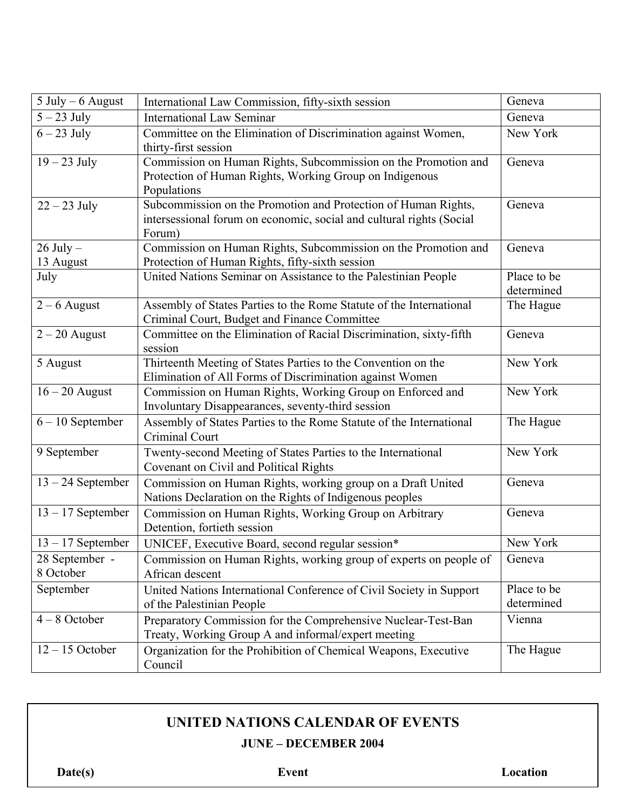| $5$ July $-6$ August        | International Law Commission, fifty-sixth session                                                                                                | Geneva                    |
|-----------------------------|--------------------------------------------------------------------------------------------------------------------------------------------------|---------------------------|
| $5 - 23$ July               | <b>International Law Seminar</b>                                                                                                                 | Geneva                    |
| $6-23$ July                 | Committee on the Elimination of Discrimination against Women,<br>thirty-first session                                                            | New York                  |
| $19-23$ July                | Commission on Human Rights, Subcommission on the Promotion and<br>Protection of Human Rights, Working Group on Indigenous<br>Populations         | Geneva                    |
| $22 - 23$ July              | Subcommission on the Promotion and Protection of Human Rights,<br>intersessional forum on economic, social and cultural rights (Social<br>Forum) | Geneva                    |
| $26$ July $-$<br>13 August  | Commission on Human Rights, Subcommission on the Promotion and<br>Protection of Human Rights, fifty-sixth session                                | Geneva                    |
| July                        | United Nations Seminar on Assistance to the Palestinian People                                                                                   | Place to be<br>determined |
| $2 - 6$ August              | Assembly of States Parties to the Rome Statute of the International<br>Criminal Court, Budget and Finance Committee                              | The Hague                 |
| $2 - 20$ August             | Committee on the Elimination of Racial Discrimination, sixty-fifth<br>session                                                                    | Geneva                    |
| 5 August                    | Thirteenth Meeting of States Parties to the Convention on the<br>Elimination of All Forms of Discrimination against Women                        | New York                  |
| $16 - 20$ August            | Commission on Human Rights, Working Group on Enforced and<br>Involuntary Disappearances, seventy-third session                                   | New York                  |
| $6 - 10$ September          | Assembly of States Parties to the Rome Statute of the International<br>Criminal Court                                                            | The Hague                 |
| 9 September                 | Twenty-second Meeting of States Parties to the International<br>Covenant on Civil and Political Rights                                           | New York                  |
| $13 - 24$ September         | Commission on Human Rights, working group on a Draft United<br>Nations Declaration on the Rights of Indigenous peoples                           | Geneva                    |
| $13 - 17$ September         | Commission on Human Rights, Working Group on Arbitrary<br>Detention, fortieth session                                                            | Geneva                    |
| $13 - 17$ September         | UNICEF, Executive Board, second regular session*                                                                                                 | New York                  |
| 28 September -<br>8 October | Commission on Human Rights, working group of experts on people of<br>African descent                                                             | Geneva                    |
| September                   | United Nations International Conference of Civil Society in Support<br>of the Palestinian People                                                 | Place to be<br>determined |
| $4 - 8$ October             | Preparatory Commission for the Comprehensive Nuclear-Test-Ban<br>Treaty, Working Group A and informal/expert meeting                             | Vienna                    |
| $12 - 15$ October           | Organization for the Prohibition of Chemical Weapons, Executive<br>Council                                                                       | The Hague                 |

# **UNITED NATIONS CALENDAR OF EVENTS**

**JUNE – DECEMBER 2004** 

**Date(s)** Event Location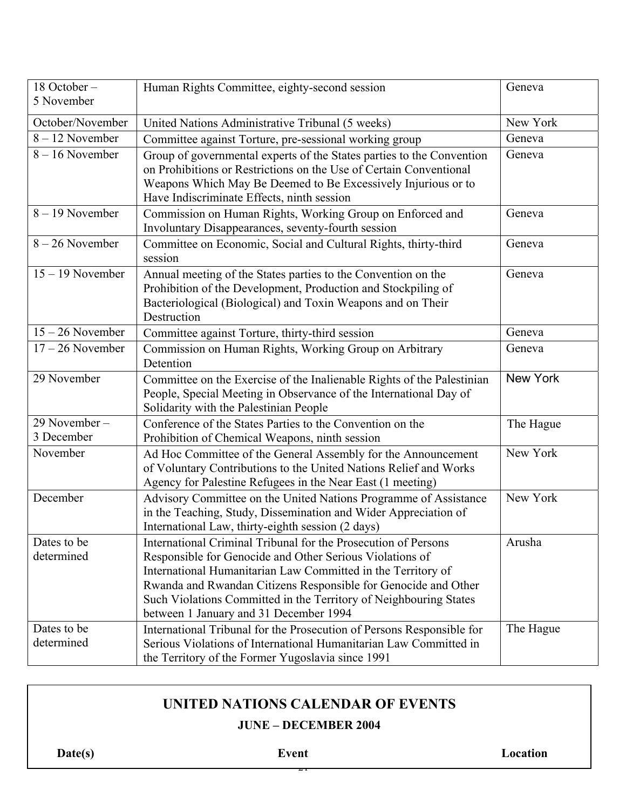| 18 October-<br>5 November  | Human Rights Committee, eighty-second session                                                                                                                                                                                                                                                                                                                               | Geneva          |
|----------------------------|-----------------------------------------------------------------------------------------------------------------------------------------------------------------------------------------------------------------------------------------------------------------------------------------------------------------------------------------------------------------------------|-----------------|
| October/November           | United Nations Administrative Tribunal (5 weeks)                                                                                                                                                                                                                                                                                                                            | New York        |
| $8 - 12$ November          | Committee against Torture, pre-sessional working group                                                                                                                                                                                                                                                                                                                      | Geneva          |
| $8 - 16$ November          | Group of governmental experts of the States parties to the Convention<br>on Prohibitions or Restrictions on the Use of Certain Conventional<br>Weapons Which May Be Deemed to Be Excessively Injurious or to<br>Have Indiscriminate Effects, ninth session                                                                                                                  | Geneva          |
| $8 - 19$ November          | Commission on Human Rights, Working Group on Enforced and<br>Involuntary Disappearances, seventy-fourth session                                                                                                                                                                                                                                                             | Geneva          |
| $8 - 26$ November          | Committee on Economic, Social and Cultural Rights, thirty-third<br>session                                                                                                                                                                                                                                                                                                  | Geneva          |
| $15 - 19$ November         | Annual meeting of the States parties to the Convention on the<br>Prohibition of the Development, Production and Stockpiling of<br>Bacteriological (Biological) and Toxin Weapons and on Their<br>Destruction                                                                                                                                                                | Geneva          |
| $15 - 26$ November         | Committee against Torture, thirty-third session                                                                                                                                                                                                                                                                                                                             | Geneva          |
| $17 - 26$ November         | Commission on Human Rights, Working Group on Arbitrary<br>Detention                                                                                                                                                                                                                                                                                                         | Geneva          |
| 29 November                | Committee on the Exercise of the Inalienable Rights of the Palestinian<br>People, Special Meeting in Observance of the International Day of<br>Solidarity with the Palestinian People                                                                                                                                                                                       | <b>New York</b> |
| 29 November-<br>3 December | Conference of the States Parties to the Convention on the<br>Prohibition of Chemical Weapons, ninth session                                                                                                                                                                                                                                                                 | The Hague       |
| November                   | Ad Hoc Committee of the General Assembly for the Announcement<br>of Voluntary Contributions to the United Nations Relief and Works<br>Agency for Palestine Refugees in the Near East (1 meeting)                                                                                                                                                                            | New York        |
| December                   | Advisory Committee on the United Nations Programme of Assistance<br>in the Teaching, Study, Dissemination and Wider Appreciation of<br>International Law, thirty-eighth session (2 days)                                                                                                                                                                                    | New York        |
| Dates to be<br>determined  | International Criminal Tribunal for the Prosecution of Persons<br>Responsible for Genocide and Other Serious Violations of<br>International Humanitarian Law Committed in the Territory of<br>Rwanda and Rwandan Citizens Responsible for Genocide and Other<br>Such Violations Committed in the Territory of Neighbouring States<br>between 1 January and 31 December 1994 | Arusha          |
| Dates to be<br>determined  | International Tribunal for the Prosecution of Persons Responsible for<br>Serious Violations of International Humanitarian Law Committed in<br>the Territory of the Former Yugoslavia since 1991                                                                                                                                                                             | The Hague       |

# **UNITED NATIONS CALENDAR OF EVENTS**

## **JUNE – DECEMBER 2004**

 $\overline{z_{1}}$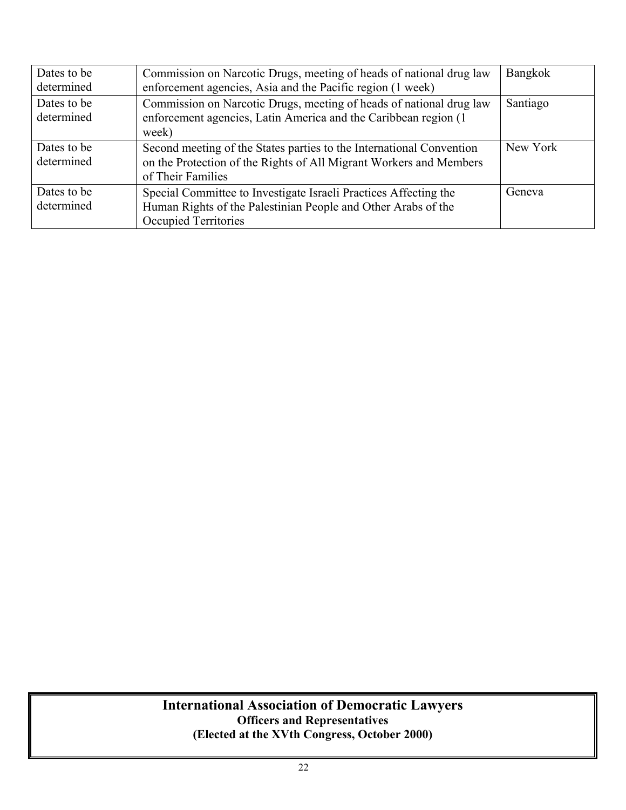| Dates to be<br>determined | Commission on Narcotic Drugs, meeting of heads of national drug law<br>enforcement agencies, Asia and the Pacific region (1 week)                               | Bangkok  |
|---------------------------|-----------------------------------------------------------------------------------------------------------------------------------------------------------------|----------|
| Dates to be<br>determined | Commission on Narcotic Drugs, meeting of heads of national drug law<br>enforcement agencies, Latin America and the Caribbean region (1)<br>week)                | Santiago |
| Dates to be<br>determined | Second meeting of the States parties to the International Convention<br>on the Protection of the Rights of All Migrant Workers and Members<br>of Their Families | New York |
| Dates to be<br>determined | Special Committee to Investigate Israeli Practices Affecting the<br>Human Rights of the Palestinian People and Other Arabs of the<br>Occupied Territories       | Geneva   |

## **International Association of Democratic Lawyers Officers and Representatives (Elected at the XVth Congress, October 2000)**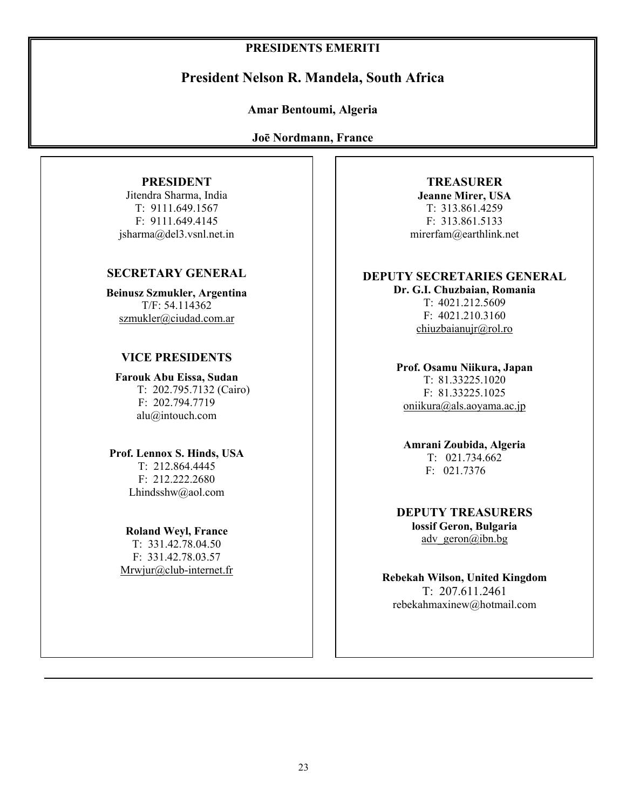## **PRESIDENTS EMERITI**

## **President Nelson R. Mandela, South Africa**

#### **Amar Bentoumi, Algeria**

**Joē Nordmann, France**

## **PRESIDENT**

Jitendra Sharma, India T: 9111.649.1567 F: 9111.649.4145 jsharma@del3.vsnl.net.in

#### **SECRETARY GENERAL**

**Beinusz Szmukler, Argentina** T/F: 54.114362 szmukler@ciudad.com.ar

#### **VICE PRESIDENTS**

**Farouk Abu Eissa, Sudan**  T: 202.795.7132 (Cairo) F: 202.794.7719 alu@intouch.com

#### **Prof. Lennox S. Hinds, USA**

T: 212.864.4445 F: 212.222.2680 Lhindsshw@aol.com

**Roland Weyl, France** T: 331.42.78.04.50 F: 331.42.78.03.57 Mrwjur@club-internet.fr

**TREASURER Jeanne Mirer, USA**  T: 313.861.4259 F: 313.861.5133 mirerfam@earthlink.net

#### **DEPUTY SECRETARIES GENERAL Dr. G.I. Chuzbaian, Romania**

T: 4021.212.5609 F: 4021.210.3160 chiuzbaianujr@rol.ro

**Prof. Osamu Niikura, Japan**  T: 81.33225.1020 F: 81.33225.1025 oniikura@als.aoyama.ac.jp

**Amrani Zoubida, Algeria**  T: 021.734.662 F: 021.7376

**DEPUTY TREASURERS lossif Geron, Bulgaria** adv geron $(a)$ ibn.bg

**Rebekah Wilson, United Kingdom**  T: 207.611.2461 rebekahmaxinew@hotmail.com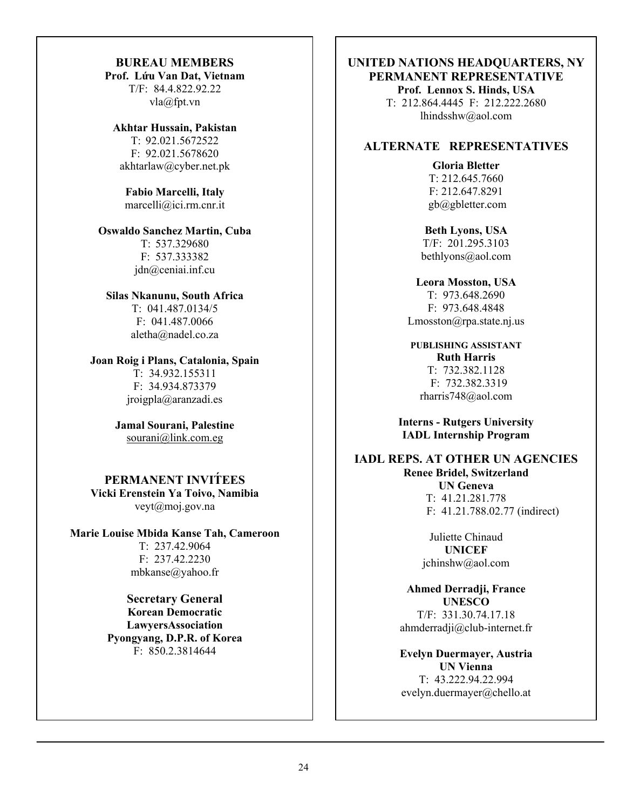## **BUREAU MEMBERS**

**Prof. Lứu Van Dat, Vietnam**  T/F: 84.4.822.92.22 vla@fpt.vn

#### **Akhtar Hussain, Pakistan**

T: 92.021.5672522 F: 92.021.5678620 akhtarlaw@cyber.net.pk

#### **Fabio Marcelli, Italy**  marcelli@ici.rm.cnr.it

#### **Oswaldo Sanchez Martin, Cuba**

T: 537.329680 F: 537.333382 jdn@ceniai.inf.cu

#### **Silas Nkanunu, South Africa**

T: 041.487.0134/5 F: 041.487.0066 aletha@nadel.co.za

## **Joan Roig i Plans, Catalonia, Spain**

T: 34.932.155311 F: 34.934.873379 jroigpla@aranzadi.es

#### **Jamal Sourani, Palestine**  sourani@link.com.eg

#### **PERMANENT INVIT́EES Vicki Erenstein Ya Toivo, Namibia**  veyt@moj.gov.na

**Marie Louise Mbida Kanse Tah, Cameroon**  T: 237.42.9064 F: 237.42.2230 mbkanse@yahoo.fr

> **Secretary General Korean Democratic LawyersAssociation Pyongyang, D.P.R. of Korea** F: 850.2.3814644

#### **UNITED NATIONS HEADQUARTERS, NY PERMANENT REPRESENTATIVE Prof. Lennox S. Hinds, USA**  T: 212.864.4445 F: 212.222.2680

lhindsshw@aol.com

## **ALTERNATE REPRESENTATIVES**

**Gloria Bletter**  T: 212.645.7660 F: 212.647.8291 gb@gbletter.com

**Beth Lyons, USA**  T/F: 201.295.3103 bethlyons@aol.com

**Leora Mosston, USA**  T: 973.648.2690 F: 973.648.4848 Lmosston@rpa.state.nj.us

**PUBLISHING ASSISTANT Ruth Harris**  T: 732.382.1128 F: 732.382.3319 rharris748@aol.com

**Interns - Rutgers University IADL Internship Program**

**IADL REPS. AT OTHER UN AGENCIES Renee Bridel, Switzerland UN Geneva**  T: 41.21.281.778 F: 41.21.788.02.77 (indirect)

> Juliette Chinaud **UNICEF**  jchinshw@aol.com

**Ahmed Derradji, France UNESCO** T/F: 331.30.74.17.18 ahmderradji@club-internet.fr

**Evelyn Duermayer, Austria UN Vienna** T: 43.222.94.22.994 evelyn.duermayer@chello.at